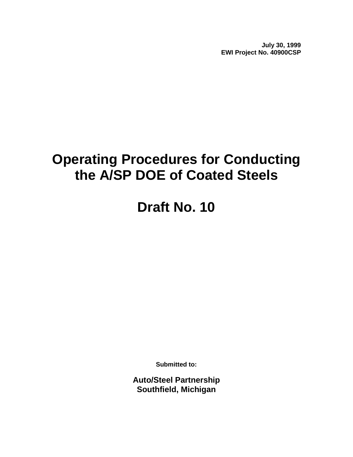**July 30, 1999 EWI Project No. 40900CSP**

# **Operating Procedures for Conducting the A/SP DOE of Coated Steels**

# **Draft No. 10**

**Submitted to:**

**Auto/Steel Partnership Southfield, Michigan**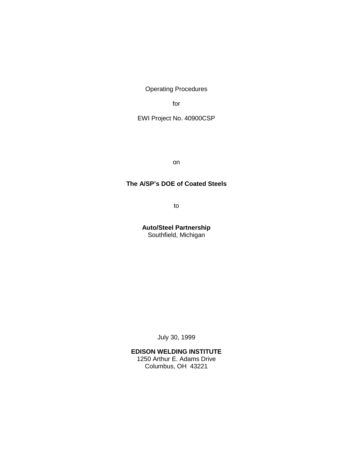Operating Procedures

for

EWI Project No. 40900CSP

on

#### **The A/SP's DOE of Coated Steels**

to

**Auto/Steel Partnership** Southfield, Michigan

July 30, 1999

#### **EDISON WELDING INSTITUTE** 1250 Arthur E. Adams Drive

Columbus, OH 43221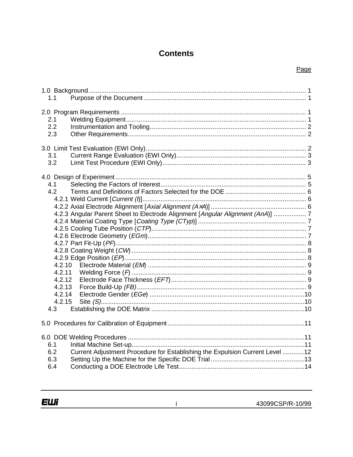# **Contents**

#### Page

| 1.1                                                                                                                                                             |  |
|-----------------------------------------------------------------------------------------------------------------------------------------------------------------|--|
| 2.1<br>2.2<br>2.3                                                                                                                                               |  |
| 3.1<br>3.2                                                                                                                                                      |  |
| 4.1<br>4.2<br>4.2.3 Angular Parent Sheet to Electrode Alignment [Angular Alignment (AnA)]  7<br>4.2.10<br>4.2.11<br>4.2.12<br>4.2.13<br>4.2.14<br>4.2.15<br>4.3 |  |
|                                                                                                                                                                 |  |
| 6.1<br>Current Adjustment Procedure for Establishing the Expulsion Current Level 12<br>6.2<br>6.3<br>6.4                                                        |  |

 $\dot{1}$ 

**ЕШі**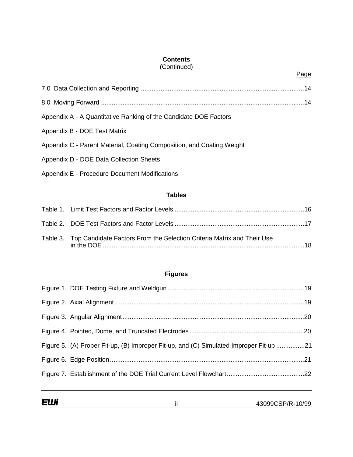## **Contents**

### (Continued)

| Appendix A - A Quantitative Ranking of the Candidate DOE Factors      |  |
|-----------------------------------------------------------------------|--|
| Appendix B - DOE Test Matrix                                          |  |
| Appendix C - Parent Material, Coating Composition, and Coating Weight |  |
| Appendix D - DOE Data Collection Sheets                               |  |
| Appendix E - Procedure Document Modifications                         |  |

# **Tables**

| Table 3. Top Candidate Factors From the Selection Criteria Matrix and Their Use |  |
|---------------------------------------------------------------------------------|--|

## **Figures**

| Figure 5. (A) Proper Fit-up, (B) Improper Fit-up, and (C) Simulated Improper Fit-up 21 |  |
|----------------------------------------------------------------------------------------|--|
|                                                                                        |  |
|                                                                                        |  |
|                                                                                        |  |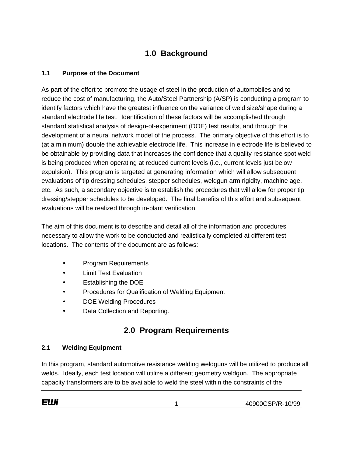# **1.0 Background**

## **1.1 Purpose of the Document**

As part of the effort to promote the usage of steel in the production of automobiles and to reduce the cost of manufacturing, the Auto/Steel Partnership (A/SP) is conducting a program to identify factors which have the greatest influence on the variance of weld size/shape during a standard electrode life test. Identification of these factors will be accomplished through standard statistical analysis of design-of-experiment (DOE) test results, and through the development of a neural network model of the process. The primary objective of this effort is to (at a minimum) double the achievable electrode life. This increase in electrode life is believed to be obtainable by providing data that increases the confidence that a quality resistance spot weld is being produced when operating at reduced current levels (i.e., current levels just below expulsion). This program is targeted at generating information which will allow subsequent evaluations of tip dressing schedules, stepper schedules, weldgun arm rigidity, machine age, etc. As such, a secondary objective is to establish the procedures that will allow for proper tip dressing/stepper schedules to be developed. The final benefits of this effort and subsequent evaluations will be realized through in-plant verification.

The aim of this document is to describe and detail all of the information and procedures necessary to allow the work to be conducted and realistically completed at different test locations. The contents of the document are as follows:

- Program Requirements
- Limit Test Evaluation
- Establishing the DOE
- Procedures for Qualification of Welding Equipment
- DOE Welding Procedures
- Data Collection and Reporting.

# **2.0 Program Requirements**

#### **2.1 Welding Equipment**

In this program, standard automotive resistance welding weldguns will be utilized to produce all welds. Ideally, each test location will utilize a different geometry weldgun. The appropriate capacity transformers are to be available to weld the steel within the constraints of the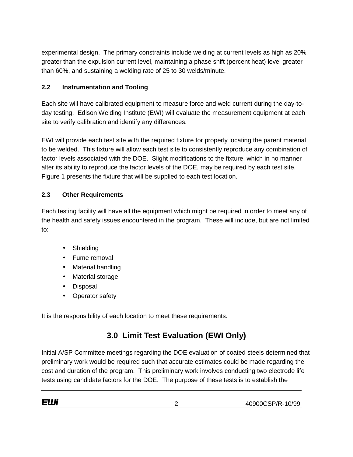experimental design. The primary constraints include welding at current levels as high as 20% greater than the expulsion current level, maintaining a phase shift (percent heat) level greater than 60%, and sustaining a welding rate of 25 to 30 welds/minute.

## **2.2 Instrumentation and Tooling**

Each site will have calibrated equipment to measure force and weld current during the day-today testing. Edison Welding Institute (EWI) will evaluate the measurement equipment at each site to verify calibration and identify any differences.

EWI will provide each test site with the required fixture for properly locating the parent material to be welded. This fixture will allow each test site to consistently reproduce any combination of factor levels associated with the DOE. Slight modifications to the fixture, which in no manner alter its ability to reproduce the factor levels of the DOE, may be required by each test site. Figure 1 presents the fixture that will be supplied to each test location.

## **2.3 Other Requirements**

Each testing facility will have all the equipment which might be required in order to meet any of the health and safety issues encountered in the program. These will include, but are not limited to:

- Shielding
- Fume removal
- Material handling
- Material storage
- Disposal
- Operator safety

It is the responsibility of each location to meet these requirements.

# **3.0 Limit Test Evaluation (EWI Only)**

Initial A/SP Committee meetings regarding the DOE evaluation of coated steels determined that preliminary work would be required such that accurate estimates could be made regarding the cost and duration of the program. This preliminary work involves conducting two electrode life tests using candidate factors for the DOE. The purpose of these tests is to establish the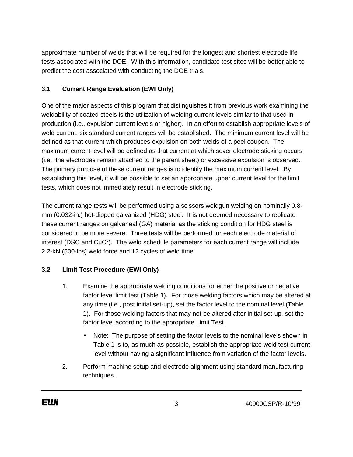approximate number of welds that will be required for the longest and shortest electrode life tests associated with the DOE. With this information, candidate test sites will be better able to predict the cost associated with conducting the DOE trials.

## **3.1 Current Range Evaluation (EWI Only)**

One of the major aspects of this program that distinguishes it from previous work examining the weldability of coated steels is the utilization of welding current levels similar to that used in production (i.e., expulsion current levels or higher). In an effort to establish appropriate levels of weld current, six standard current ranges will be established. The minimum current level will be defined as that current which produces expulsion on both welds of a peel coupon. The maximum current level will be defined as that current at which sever electrode sticking occurs (i.e., the electrodes remain attached to the parent sheet) or excessive expulsion is observed. The primary purpose of these current ranges is to identify the maximum current level. By establishing this level, it will be possible to set an appropriate upper current level for the limit tests, which does not immediately result in electrode sticking.

The current range tests will be performed using a scissors weldgun welding on nominally 0.8 mm (0.032-in.) hot-dipped galvanized (HDG) steel. It is not deemed necessary to replicate these current ranges on galvaneal (GA) material as the sticking condition for HDG steel is considered to be more severe. Three tests will be performed for each electrode material of interest (DSC and CuCr). The weld schedule parameters for each current range will include 2.2-kN (500-lbs) weld force and 12 cycles of weld time.

#### **3.2 Limit Test Procedure (EWI Only)**

- 1. Examine the appropriate welding conditions for either the positive or negative factor level limit test (Table 1). For those welding factors which may be altered at any time (i.e., post initial set-up), set the factor level to the nominal level (Table 1). For those welding factors that may not be altered after initial set-up, set the factor level according to the appropriate Limit Test.
	- Note: The purpose of setting the factor levels to the nominal levels shown in Table 1 is to, as much as possible, establish the appropriate weld test current level without having a significant influence from variation of the factor levels.
- 2. Perform machine setup and electrode alignment using standard manufacturing techniques.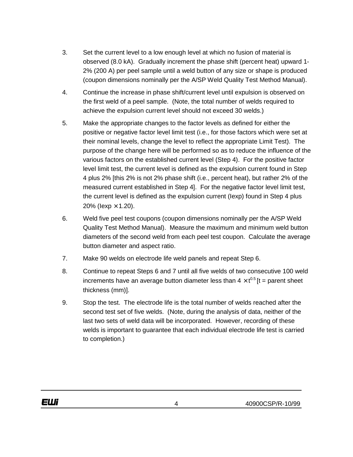- 3. Set the current level to a low enough level at which no fusion of material is observed (8.0 kA). Gradually increment the phase shift (percent heat) upward 1- 2% (200 A) per peel sample until a weld button of any size or shape is produced (coupon dimensions nominally per the A/SP Weld Quality Test Method Manual).
- 4. Continue the increase in phase shift/current level until expulsion is observed on the first weld of a peel sample. (Note, the total number of welds required to achieve the expulsion current level should not exceed 30 welds.)
- 5. Make the appropriate changes to the factor levels as defined for either the positive or negative factor level limit test (i.e., for those factors which were set at their nominal levels, change the level to reflect the appropriate Limit Test). The purpose of the change here will be performed so as to reduce the influence of the various factors on the established current level (Step 4). For the positive factor level limit test, the current level is defined as the expulsion current found in Step 4 plus 2% [this 2% is not 2% phase shift (i.e., percent heat), but rather 2% of the measured current established in Step 4]. For the negative factor level limit test, the current level is defined as the expulsion current (Iexp) found in Step 4 plus 20% ( $lexp \times 1.20$ ).
- 6. Weld five peel test coupons (coupon dimensions nominally per the A/SP Weld Quality Test Method Manual). Measure the maximum and minimum weld button diameters of the second weld from each peel test coupon. Calculate the average button diameter and aspect ratio.
- 7. Make 90 welds on electrode life weld panels and repeat Step 6.
- 8. Continue to repeat Steps 6 and 7 until all five welds of two consecutive 100 weld increments have an average button diameter less than  $4 \times t^{0.5}$  [t = parent sheet thickness (mm)].
- 9. Stop the test. The electrode life is the total number of welds reached after the second test set of five welds. (Note, during the analysis of data, neither of the last two sets of weld data will be incorporated. However, recording of these welds is important to guarantee that each individual electrode life test is carried to completion.)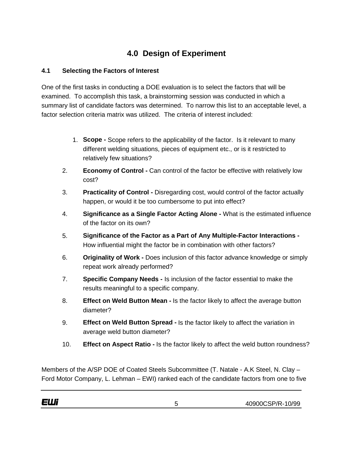# **4.0 Design of Experiment**

#### **4.1 Selecting the Factors of Interest**

One of the first tasks in conducting a DOE evaluation is to select the factors that will be examined. To accomplish this task, a brainstorming session was conducted in which a summary list of candidate factors was determined. To narrow this list to an acceptable level, a factor selection criteria matrix was utilized. The criteria of interest included:

- 1. **Scope -** Scope refers to the applicability of the factor. Is it relevant to many different welding situations, pieces of equipment etc., or is it restricted to relatively few situations?
- 2. **Economy of Control -** Can control of the factor be effective with relatively low cost?
- 3. **Practicality of Control -** Disregarding cost, would control of the factor actually happen, or would it be too cumbersome to put into effect?
- 4. **Significance as a Single Factor Acting Alone -** What is the estimated influence of the factor on its own?
- 5. **Significance of the Factor as a Part of Any Multiple-Factor Interactions -** How influential might the factor be in combination with other factors?
- 6. **Originality of Work -** Does inclusion of this factor advance knowledge or simply repeat work already performed?
- 7. **Specific Company Needs -** Is inclusion of the factor essential to make the results meaningful to a specific company.
- 8. **Effect on Weld Button Mean -** Is the factor likely to affect the average button diameter?
- 9. **Effect on Weld Button Spread -** Is the factor likely to affect the variation in average weld button diameter?
- 10. **Effect on Aspect Ratio -** Is the factor likely to affect the weld button roundness?

Members of the A/SP DOE of Coated Steels Subcommittee (T. Natale - A.K Steel, N. Clay – Ford Motor Company, L. Lehman – EWI) ranked each of the candidate factors from one to five

40900CSP/R-10/99 5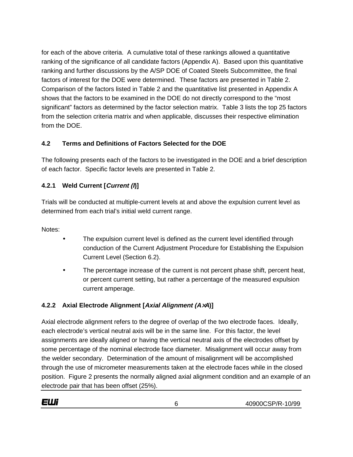for each of the above criteria. A cumulative total of these rankings allowed a quantitative ranking of the significance of all candidate factors (Appendix A). Based upon this quantitative ranking and further discussions by the A/SP DOE of Coated Steels Subcommittee, the final factors of interest for the DOE were determined. These factors are presented in Table 2. Comparison of the factors listed in Table 2 and the quantitative list presented in Appendix A shows that the factors to be examined in the DOE do not directly correspond to the "most significant" factors as determined by the factor selection matrix. Table 3 lists the top 25 factors from the selection criteria matrix and when applicable, discusses their respective elimination from the DOE.

## **4.2 Terms and Definitions of Factors Selected for the DOE**

The following presents each of the factors to be investigated in the DOE and a brief description of each factor. Specific factor levels are presented in Table 2.

# **4.2.1 Weld Current [Current (I)]**

Trials will be conducted at multiple-current levels at and above the expulsion current level as determined from each trial's initial weld current range.

Notes:

EШi

- The expulsion current level is defined as the current level identified through conduction of the Current Adjustment Procedure for Establishing the Expulsion Current Level (Section 6.2).
- The percentage increase of the current is not percent phase shift, percent heat, or percent current setting, but rather a percentage of the measured expulsion current amperage.

# **4.2.2 Axial Electrode Alignment [Axial Alignment (A**×**A)]**

Axial electrode alignment refers to the degree of overlap of the two electrode faces. Ideally, each electrode's vertical neutral axis will be in the same line. For this factor, the level assignments are ideally aligned or having the vertical neutral axis of the electrodes offset by some percentage of the nominal electrode face diameter. Misalignment will occur away from the welder secondary. Determination of the amount of misalignment will be accomplished through the use of micrometer measurements taken at the electrode faces while in the closed position. Figure 2 presents the normally aligned axial alignment condition and an example of an electrode pair that has been offset (25%).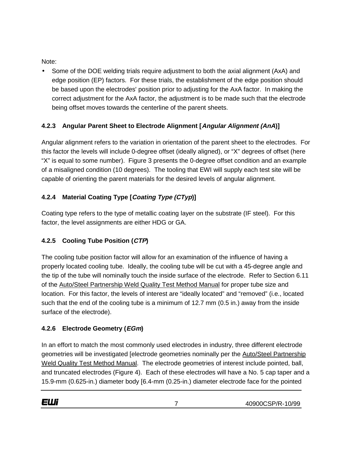Note:

• Some of the DOE welding trials require adjustment to both the axial alignment (AxA) and edge position (EP) factors. For these trials, the establishment of the edge position should be based upon the electrodes' position prior to adjusting for the AxA factor. In making the correct adjustment for the AxA factor, the adjustment is to be made such that the electrode being offset moves towards the centerline of the parent sheets.

# **4.2.3 Angular Parent Sheet to Electrode Alignment [Angular Alignment (AnA)]**

Angular alignment refers to the variation in orientation of the parent sheet to the electrodes. For this factor the levels will include 0-degree offset (ideally aligned), or "X" degrees of offset (here "X" is equal to some number). Figure 3 presents the 0-degree offset condition and an example of a misaligned condition (10 degrees). The tooling that EWI will supply each test site will be capable of orienting the parent materials for the desired levels of angular alignment.

# **4.2.4 Material Coating Type [Coating Type (CTyp)]**

Coating type refers to the type of metallic coating layer on the substrate (IF steel). For this factor, the level assignments are either HDG or GA.

# **4.2.5 Cooling Tube Position (CTP)**

The cooling tube position factor will allow for an examination of the influence of having a properly located cooling tube. Ideally, the cooling tube will be cut with a 45-degree angle and the tip of the tube will nominally touch the inside surface of the electrode. Refer to Section 6.11 of the Auto/Steel Partnership Weld Quality Test Method Manual for proper tube size and location. For this factor, the levels of interest are "ideally located" and "removed" (i.e., located such that the end of the cooling tube is a minimum of 12.7 mm (0.5 in.) away from the inside surface of the electrode).

#### **4.2.6 Electrode Geometry (EGm)**

In an effort to match the most commonly used electrodes in industry, three different electrode geometries will be investigated [electrode geometries nominally per the Auto/Steel Partnership Weld Quality Test Method Manual. The electrode geometries of interest include pointed, ball, and truncated electrodes (Figure 4). Each of these electrodes will have a No. 5 cap taper and a 15.9-mm (0.625-in.) diameter body [6.4-mm (0.25-in.) diameter electrode face for the pointed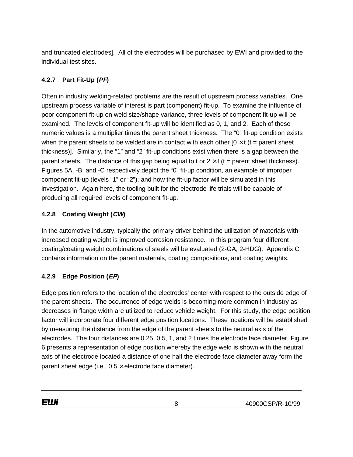and truncated electrodes]. All of the electrodes will be purchased by EWI and provided to the individual test sites.

# **4.2.7 Part Fit-Up (PF)**

Often in industry welding-related problems are the result of upstream process variables. One upstream process variable of interest is part (component) fit-up. To examine the influence of poor component fit-up on weld size/shape variance, three levels of component fit-up will be examined. The levels of component fit-up will be identified as 0, 1, and 2. Each of these numeric values is a multiplier times the parent sheet thickness. The "0" fit-up condition exists when the parent sheets to be welded are in contact with each other  $[0 \times t]$  (t = parent sheet thickness)]. Similarly, the "1" and "2" fit-up conditions exist when there is a gap between the parent sheets. The distance of this gap being equal to t or  $2 \times t$  (t = parent sheet thickness). Figures 5A, -B, and -C respectively depict the "0" fit-up condition, an example of improper component fit-up (levels "1" or "2"), and how the fit-up factor will be simulated in this investigation. Again here, the tooling built for the electrode life trials will be capable of producing all required levels of component fit-up.

# **4.2.8 Coating Weight (CW)**

In the automotive industry, typically the primary driver behind the utilization of materials with increased coating weight is improved corrosion resistance. In this program four different coating/coating weight combinations of steels will be evaluated (2-GA, 2-HDG). Appendix C contains information on the parent materials, coating compositions, and coating weights.

# **4.2.9 Edge Position (EP)**

Edge position refers to the location of the electrodes' center with respect to the outside edge of the parent sheets. The occurrence of edge welds is becoming more common in industry as decreases in flange width are utilized to reduce vehicle weight. For this study, the edge position factor will incorporate four different edge position locations. These locations will be established by measuring the distance from the edge of the parent sheets to the neutral axis of the electrodes. The four distances are 0.25, 0.5, 1, and 2 times the electrode face diameter. Figure 6 presents a representation of edge position whereby the edge weld is shown with the neutral axis of the electrode located a distance of one half the electrode face diameter away form the parent sheet edge (i.e.,  $0.5 \times$  electrode face diameter).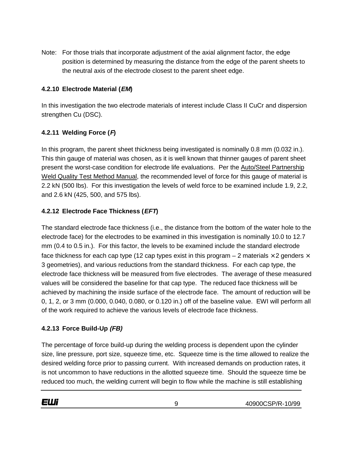Note: For those trials that incorporate adjustment of the axial alignment factor, the edge position is determined by measuring the distance from the edge of the parent sheets to the neutral axis of the electrode closest to the parent sheet edge.

#### **4.2.10 Electrode Material (EM)**

In this investigation the two electrode materials of interest include Class II CuCr and dispersion strengthen Cu (DSC).

#### **4.2.11 Welding Force (F)**

In this program, the parent sheet thickness being investigated is nominally 0.8 mm (0.032 in.). This thin gauge of material was chosen, as it is well known that thinner gauges of parent sheet present the worst-case condition for electrode life evaluations. Per the Auto/Steel Partnership Weld Quality Test Method Manual, the recommended level of force for this gauge of material is 2.2 kN (500 lbs). For this investigation the levels of weld force to be examined include 1.9, 2.2, and 2.6 kN (425, 500, and 575 lbs).

#### **4.2.12 Electrode Face Thickness (EFT)**

The standard electrode face thickness (i.e., the distance from the bottom of the water hole to the electrode face) for the electrodes to be examined in this investigation is nominally 10.0 to 12.7 mm (0.4 to 0.5 in.). For this factor, the levels to be examined include the standard electrode face thickness for each cap type (12 cap types exist in this program  $-$  2 materials  $\times$  2 genders  $\times$ 3 geometries), and various reductions from the standard thickness. For each cap type, the electrode face thickness will be measured from five electrodes. The average of these measured values will be considered the baseline for that cap type. The reduced face thickness will be achieved by machining the inside surface of the electrode face. The amount of reduction will be 0, 1, 2, or 3 mm (0.000, 0.040, 0.080, or 0.120 in.) off of the baseline value. EWI will perform all of the work required to achieve the various levels of electrode face thickness.

#### **4.2.13 Force Build-Up (FB)**

The percentage of force build-up during the welding process is dependent upon the cylinder size, line pressure, port size, squeeze time, etc. Squeeze time is the time allowed to realize the desired welding force prior to passing current. With increased demands on production rates, it is not uncommon to have reductions in the allotted squeeze time. Should the squeeze time be reduced too much, the welding current will begin to flow while the machine is still establishing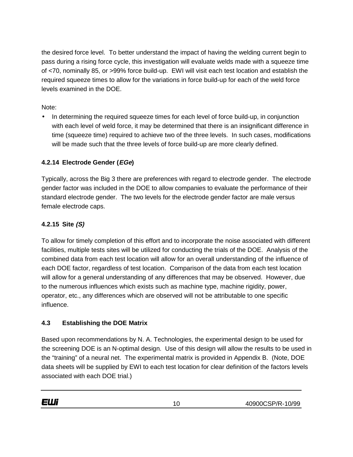the desired force level. To better understand the impact of having the welding current begin to pass during a rising force cycle, this investigation will evaluate welds made with a squeeze time of <70, nominally 85, or >99% force build-up. EWI will visit each test location and establish the required squeeze times to allow for the variations in force build-up for each of the weld force levels examined in the DOE.

Note:

• In determining the required squeeze times for each level of force build-up, in conjunction with each level of weld force, it may be determined that there is an insignificant difference in time (squeeze time) required to achieve two of the three levels. In such cases, modifications will be made such that the three levels of force build-up are more clearly defined.

## **4.2.14 Electrode Gender (EGe)**

Typically, across the Big 3 there are preferences with regard to electrode gender. The electrode gender factor was included in the DOE to allow companies to evaluate the performance of their standard electrode gender. The two levels for the electrode gender factor are male versus female electrode caps.

## **4.2.15 Site (S)**

To allow for timely completion of this effort and to incorporate the noise associated with different facilities, multiple tests sites will be utilized for conducting the trials of the DOE. Analysis of the combined data from each test location will allow for an overall understanding of the influence of each DOE factor, regardless of test location. Comparison of the data from each test location will allow for a general understanding of any differences that may be observed. However, due to the numerous influences which exists such as machine type, machine rigidity, power, operator, etc., any differences which are observed will not be attributable to one specific influence.

#### **4.3 Establishing the DOE Matrix**

Based upon recommendations by N. A. Technologies, the experimental design to be used for the screening DOE is an N-optimal design. Use of this design will allow the results to be used in the "training" of a neural net. The experimental matrix is provided in Appendix B. (Note, DOE data sheets will be supplied by EWI to each test location for clear definition of the factors levels associated with each DOE trial.)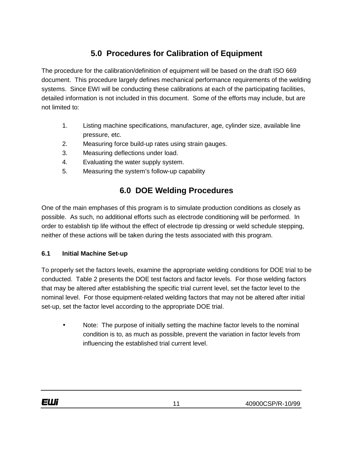# **5.0 Procedures for Calibration of Equipment**

The procedure for the calibration/definition of equipment will be based on the draft ISO 669 document. This procedure largely defines mechanical performance requirements of the welding systems. Since EWI will be conducting these calibrations at each of the participating facilities, detailed information is not included in this document. Some of the efforts may include, but are not limited to:

- 1. Listing machine specifications, manufacturer, age, cylinder size, available line pressure, etc.
- 2. Measuring force build-up rates using strain gauges.
- 3. Measuring deflections under load.
- 4. Evaluating the water supply system.
- 5. Measuring the system's follow-up capability

# **6.0 DOE Welding Procedures**

One of the main emphases of this program is to simulate production conditions as closely as possible. As such, no additional efforts such as electrode conditioning will be performed. In order to establish tip life without the effect of electrode tip dressing or weld schedule stepping, neither of these actions will be taken during the tests associated with this program.

#### **6.1 Initial Machine Set-up**

To properly set the factors levels, examine the appropriate welding conditions for DOE trial to be conducted. Table 2 presents the DOE test factors and factor levels. For those welding factors that may be altered after establishing the specific trial current level, set the factor level to the nominal level. For those equipment-related welding factors that may not be altered after initial set-up, set the factor level according to the appropriate DOE trial.

• Note: The purpose of initially setting the machine factor levels to the nominal condition is to, as much as possible, prevent the variation in factor levels from influencing the established trial current level.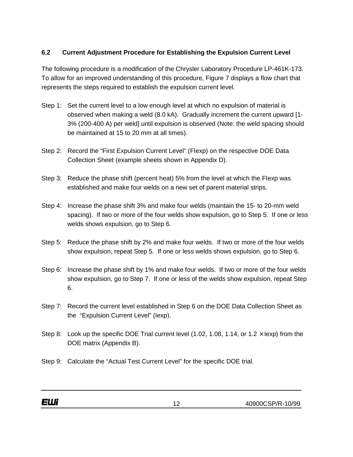#### **6.2 Current Adjustment Procedure for Establishing the Expulsion Current Level**

The following procedure is a modification of the Chrysler Laboratory Procedure LP-461K-173. To allow for an improved understanding of this procedure, Figure 7 displays a flow chart that represents the steps required to establish the expulsion current level.

- Step 1: Set the current level to a low enough level at which no expulsion of material is observed when making a weld (8.0 kA). Gradually increment the current upward [1- 3% (200-400 A) per weld] until expulsion is observed (Note: the weld spacing should be maintained at 15 to 20 mm at all times).
- Step 2: Record the "First Expulsion Current Level" (FIexp) on the respective DOE Data Collection Sheet (example sheets shown in Appendix D).
- Step 3: Reduce the phase shift (percent heat) 5% from the level at which the FIexp was established and make four welds on a new set of parent material strips.
- Step 4: Increase the phase shift 3% and make four welds (maintain the 15- to 20-mm weld spacing). If two or more of the four welds show expulsion, go to Step 5. If one or less welds shows expulsion, go to Step 6.
- Step 5: Reduce the phase shift by 2% and make four welds. If two or more of the four welds show expulsion, repeat Step 5. If one or less welds shows expulsion, go to Step 6.
- Step 6: Increase the phase shift by 1% and make four welds. If two or more of the four welds show expulsion, go to Step 7. If one or less of the welds show expulsion, repeat Step 6.
- Step 7: Record the current level established in Step 6 on the DOE Data Collection Sheet as the "Expulsion Current Level" (Iexp).
- Step 8: Look up the specific DOE Trial current level (1.02, 1.08, 1.14, or 1.2  $\times$  lexp) from the DOE matrix (Appendix B).
- Step 9: Calculate the "Actual Test Current Level" for the specific DOE trial.

12 40900CSP/R-10/99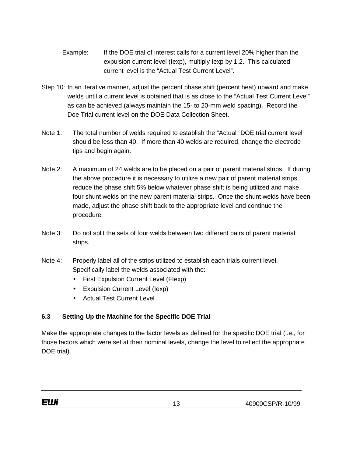- Example: If the DOE trial of interest calls for a current level 20% higher than the expulsion current level (Iexp), multiply Iexp by 1.2. This calculated current level is the "Actual Test Current Level".
- Step 10: In an iterative manner, adjust the percent phase shift (percent heat) upward and make welds until a current level is obtained that is as close to the "Actual Test Current Level" as can be achieved (always maintain the 15- to 20-mm weld spacing). Record the Doe Trial current level on the DOE Data Collection Sheet.
- Note 1: The total number of welds required to establish the "Actual" DOE trial current level should be less than 40. If more than 40 welds are required, change the electrode tips and begin again.
- Note 2: A maximum of 24 welds are to be placed on a pair of parent material strips. If during the above procedure it is necessary to utilize a new pair of parent material strips, reduce the phase shift 5% below whatever phase shift is being utilized and make four shunt welds on the new parent material strips. Once the shunt welds have been made, adjust the phase shift back to the appropriate level and continue the procedure.
- Note 3: Do not split the sets of four welds between two different pairs of parent material strips.
- Note 4: Properly label all of the strips utilized to establish each trials current level. Specifically label the welds associated with the:
	- First Expulsion Current Level (FIexp)
	- Expulsion Current Level (Iexp)
	- Actual Test Current Level

# **6.3 Setting Up the Machine for the Specific DOE Trial**

Make the appropriate changes to the factor levels as defined for the specific DOE trial (i.e., for those factors which were set at their nominal levels, change the level to reflect the appropriate DOE trial).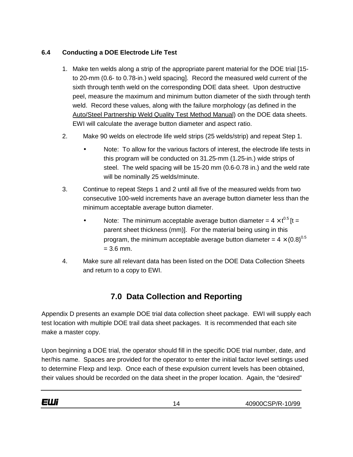#### **6.4 Conducting a DOE Electrode Life Test**

- 1. Make ten welds along a strip of the appropriate parent material for the DOE trial [15 to 20-mm (0.6- to 0.78-in.) weld spacing]. Record the measured weld current of the sixth through tenth weld on the corresponding DOE data sheet. Upon destructive peel, measure the maximum and minimum button diameter of the sixth through tenth weld. Record these values, along with the failure morphology (as defined in the Auto/Steel Partnership Weld Quality Test Method Manual) on the DOE data sheets. EWI will calculate the average button diameter and aspect ratio.
- 2. Make 90 welds on electrode life weld strips (25 welds/strip) and repeat Step 1.
	- Note: To allow for the various factors of interest, the electrode life tests in this program will be conducted on 31.25-mm (1.25-in.) wide strips of steel. The weld spacing will be 15-20 mm (0.6-0.78 in.) and the weld rate will be nominally 25 welds/minute.
- 3. Continue to repeat Steps 1 and 2 until all five of the measured welds from two consecutive 100-weld increments have an average button diameter less than the minimum acceptable average button diameter.
	- Note: The minimum acceptable average button diameter =  $4 \times t^{0.5}$  [t = parent sheet thickness (mm)]. For the material being using in this program, the minimum acceptable average button diameter =  $4 \times (0.8)^{0.5}$  $= 3.6$  mm.
- 4. Make sure all relevant data has been listed on the DOE Data Collection Sheets and return to a copy to EWI.

# **7.0 Data Collection and Reporting**

Appendix D presents an example DOE trial data collection sheet package. EWI will supply each test location with multiple DOE trail data sheet packages. It is recommended that each site make a master copy.

Upon beginning a DOE trial, the operator should fill in the specific DOE trial number, date, and her/his name. Spaces are provided for the operator to enter the initial factor level settings used to determine FIexp and Iexp. Once each of these expulsion current levels has been obtained, their values should be recorded on the data sheet in the proper location. Again, the "desired"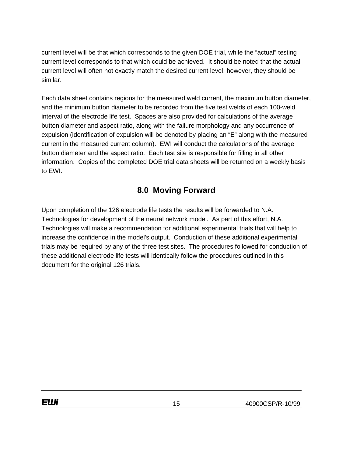current level will be that which corresponds to the given DOE trial, while the "actual" testing current level corresponds to that which could be achieved. It should be noted that the actual current level will often not exactly match the desired current level; however, they should be similar.

Each data sheet contains regions for the measured weld current, the maximum button diameter, and the minimum button diameter to be recorded from the five test welds of each 100-weld interval of the electrode life test. Spaces are also provided for calculations of the average button diameter and aspect ratio, along with the failure morphology and any occurrence of expulsion (identification of expulsion will be denoted by placing an "E" along with the measured current in the measured current column). EWI will conduct the calculations of the average button diameter and the aspect ratio. Each test site is responsible for filling in all other information. Copies of the completed DOE trial data sheets will be returned on a weekly basis to EWI.

# **8.0 Moving Forward**

Upon completion of the 126 electrode life tests the results will be forwarded to N.A. Technologies for development of the neural network model. As part of this effort, N.A. Technologies will make a recommendation for additional experimental trials that will help to increase the confidence in the model's output. Conduction of these additional experimental trials may be required by any of the three test sites. The procedures followed for conduction of these additional electrode life tests will identically follow the procedures outlined in this document for the original 126 trials.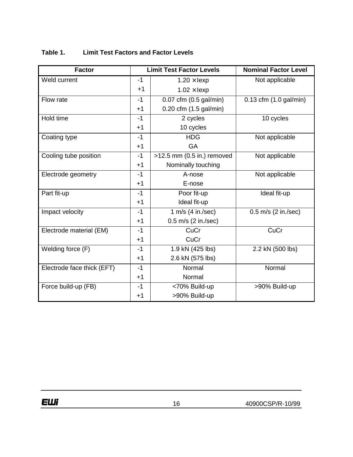| <b>Factor</b>              |      | <b>Limit Test Factor Levels</b> | <b>Nominal Factor Level</b>     |  |  |  |
|----------------------------|------|---------------------------------|---------------------------------|--|--|--|
| Weld current               | $-1$ | $1.20 \times$ lexp              | Not applicable                  |  |  |  |
|                            | $+1$ | $1.02 \times$ lexp              |                                 |  |  |  |
| Flow rate                  | $-1$ | $0.07$ cfm $(0.5$ gal/min)      | $0.13$ cfm $(1.0$ gal/min)      |  |  |  |
|                            | $+1$ | $0.20$ cfm $(1.5$ gal/min)      |                                 |  |  |  |
| Hold time                  | $-1$ | 2 cycles                        | 10 cycles                       |  |  |  |
|                            | $+1$ | 10 cycles                       |                                 |  |  |  |
| Coating type               | $-1$ | <b>HDG</b>                      | Not applicable                  |  |  |  |
|                            | $+1$ | <b>GA</b>                       |                                 |  |  |  |
| Cooling tube position      | $-1$ | >12.5 mm (0.5 in.) removed      | Not applicable                  |  |  |  |
|                            | $+1$ | Nominally touching              |                                 |  |  |  |
| Electrode geometry         | $-1$ | A-nose                          | Not applicable                  |  |  |  |
|                            | $+1$ | E-nose                          |                                 |  |  |  |
| Part fit-up                | $-1$ | Poor fit-up                     | Ideal fit-up                    |  |  |  |
|                            | $+1$ | Ideal fit-up                    |                                 |  |  |  |
| Impact velocity            | $-1$ | 1 m/s $(4 in./sec)$             | $0.5$ m/s $(2 \text{ in./sec})$ |  |  |  |
|                            | $+1$ | 0.5 m/s (2 in./sec)             |                                 |  |  |  |
| Electrode material (EM)    | $-1$ | CuCr                            | CuCr                            |  |  |  |
|                            | $+1$ | CuCr                            |                                 |  |  |  |
| Welding force (F)          | $-1$ | $1.9$ kN (425 lbs)              | 2.2 kN (500 lbs)                |  |  |  |
|                            | $+1$ | 2.6 kN (575 lbs)                |                                 |  |  |  |
| Electrode face thick (EFT) | $-1$ | Normal                          | Normal                          |  |  |  |
|                            | $+1$ | Normal                          |                                 |  |  |  |
| Force build-up (FB)        | $-1$ | <70% Build-up                   | >90% Build-up                   |  |  |  |
|                            | $+1$ | >90% Build-up                   |                                 |  |  |  |

#### **Table 1. Limit Test Factors and Factor Levels**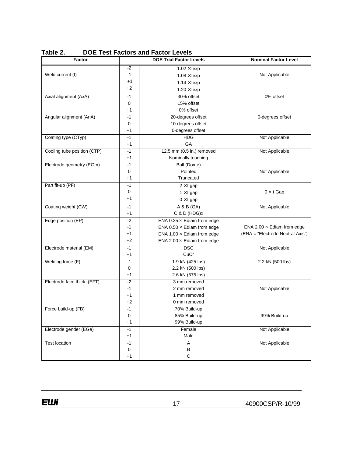| <b>Factor</b>               |             | <b>DOE Trial Factor Levels</b>    | <b>Nominal Factor Level</b>       |  |  |  |
|-----------------------------|-------------|-----------------------------------|-----------------------------------|--|--|--|
|                             | -2          | $1.02 \times$ lexp                |                                   |  |  |  |
| Weld current (I)            | $-1$        | $1.08 \times$ lexp                | Not Applicable                    |  |  |  |
|                             | +1          | $1.14 \times$ lexp                |                                   |  |  |  |
|                             | +2          | $1.20 \times$ lexp                |                                   |  |  |  |
| Axial alignment (AxA)       | $-1$        | 30% offset                        | 0% offset                         |  |  |  |
|                             | 0           | 15% offset                        |                                   |  |  |  |
|                             | +1          | 0% offset                         |                                   |  |  |  |
| Angular alignment (AnA)     | -1          | 20-degrees offset                 | 0-degrees offset                  |  |  |  |
|                             | 0           | 10-degrees offset                 |                                   |  |  |  |
|                             | $+1$        | 0-degrees offset                  |                                   |  |  |  |
| Coating type (CTyp)         | $-1$        | <b>HDG</b>                        | Not Applicable                    |  |  |  |
|                             | $+1$        | GA                                |                                   |  |  |  |
| Cooling tube position (CTP) | $-1$        | 12.5 mm (0.5 in.) removed         | Not Applicable                    |  |  |  |
|                             | $+1$        | Nominally touching                |                                   |  |  |  |
| Electrode geometry (EGm)    | $-1$        | Ball (Dome)                       |                                   |  |  |  |
|                             | 0           | Pointed                           | Not Applicable                    |  |  |  |
|                             | $+1$        | Truncated                         |                                   |  |  |  |
| Part fit-up (PF)            | $-1$        | $2 \times t$ gap                  |                                   |  |  |  |
|                             | 0           | $1 \times t$ gap                  | $0 \times t$ Gap                  |  |  |  |
|                             | $+1$        | $0 \times t$ gap                  |                                   |  |  |  |
| Coating weight (CW)         | -1          | A & B (GA)                        | Not Applicable                    |  |  |  |
|                             | $+1$        | $C$ & $D$ (HDG) $x$               |                                   |  |  |  |
| Edge position (EP)          | -2          | ENA 0.25 $\times$ Ediam from edge |                                   |  |  |  |
|                             | -1          | ENA $0.50 \times$ Ediam from edge | ENA 2.00 $\times$ Ediam from edge |  |  |  |
|                             | $+1$        | ENA 1.00 $\times$ Ediam from edge | (ENA = "Electrode Neutral Axis")  |  |  |  |
|                             | +2          | ENA 2.00 $\times$ Ediam from edge |                                   |  |  |  |
| Electrode material (EM)     | $-1$        | <b>DSC</b>                        | Not Applicable                    |  |  |  |
|                             | $+1$        | CuCr                              |                                   |  |  |  |
| Welding force (F)           | $-1$        | 1.9 kN (425 lbs)                  | 2.2 kN (500 lbs)                  |  |  |  |
|                             | 0           | 2.2 kN (500 lbs)                  |                                   |  |  |  |
|                             | $+1$        | 2.6 kN (575 lbs)                  |                                   |  |  |  |
| Electrode face thick. (EFT) | -2          | 3 mm removed                      |                                   |  |  |  |
|                             | -1          | 2 mm removed                      | Not Applicable                    |  |  |  |
|                             | $+1$        | 1 mm removed                      |                                   |  |  |  |
|                             | $+2$        | 0 mm removed                      |                                   |  |  |  |
| Force build-up (FB)         | -1          | 70% Build-up                      |                                   |  |  |  |
|                             | 0           | 85% Build-up                      | 99% Build-up                      |  |  |  |
|                             | $+1$        | 99% Build-up                      |                                   |  |  |  |
| Electrode gender (EGe)      | $-1$        | Female                            | Not Applicable                    |  |  |  |
|                             | $+1$        | Male                              |                                   |  |  |  |
| <b>Test location</b>        | $-1$        | Α                                 | Not Applicable                    |  |  |  |
|                             | $\mathbf 0$ | В                                 |                                   |  |  |  |
|                             | $+1$        | $\mathsf C$                       |                                   |  |  |  |

**Table 2. DOE Test Factors and Factor Levels**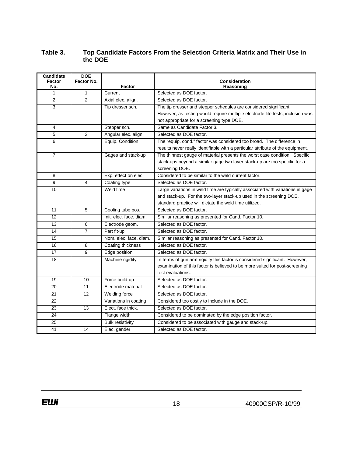#### **Table 3. Top Candidate Factors From the Selection Criteria Matrix and Their Use in the DOE**

| Candidate<br>Factor | <b>DOE</b><br>Factor No. |                         | Consideration                                                                   |
|---------------------|--------------------------|-------------------------|---------------------------------------------------------------------------------|
| No.                 |                          | <b>Factor</b>           | Reasoning                                                                       |
| 1                   | $\mathbf{1}$             | Current                 | Selected as DOE factor.                                                         |
| $\overline{2}$      | $\mathfrak{p}$           | Axial elec. align.      | Selected as DOE factor.                                                         |
| 3                   |                          | Tip dresser sch.        | The tip dresser and stepper schedules are considered significant.               |
|                     |                          |                         | However, as testing would require multiple electrode life tests, inclusion was  |
|                     |                          |                         | not appropriate for a screening type DOE.                                       |
| 4                   |                          | Stepper sch.            | Same as Candidate Factor 3.                                                     |
| 5                   | 3                        | Angular elec. align.    | Selected as DOE factor.                                                         |
| 6                   |                          | Equip. Condition        | The "equip. cond." factor was considered too broad. The difference in           |
|                     |                          |                         | results never really identifiable with a particular attribute of the equipment. |
| $\overline{7}$      |                          | Gages and stack-up      | The thinnest gauge of material presents the worst case condition. Specific      |
|                     |                          |                         | stack-ups beyond a similar gage two layer stack-up are too specific for a       |
|                     |                          |                         | screening DOE.                                                                  |
| 8                   |                          | Exp. effect on elec.    | Considered to be similar to the weld current factor.                            |
| 9                   | 4                        | Coating type            | Selected as DOE factor.                                                         |
| 10                  |                          | Weld time               | Large variations in weld time are typically associated with variations in gage  |
|                     |                          |                         | and stack-up. For the two-layer stack-up used in the screening DOE,             |
|                     |                          |                         | standard practice will dictate the weld time utilized.                          |
| 11                  | 5                        | Cooling tube pos.       | Selected as DOE factor.                                                         |
| 12                  |                          | Init. elec. face. diam. | Similar reasoning as presented for Cand. Factor 10.                             |
| 13                  | 6                        | Electrode geom.         | Selected as DOE factor.                                                         |
| 14                  | $\overline{7}$           | Part fit-up             | Selected as DOE factor.                                                         |
| 15                  |                          | Nom. elec. face. diam.  | Similar reasoning as presented for Cand. Factor 10.                             |
| 16                  | 8                        | Coating thickness       | Selected as DOE factor.                                                         |
| 17                  | 9                        | Edge position           | Selected as DOE factor.                                                         |
| 18                  |                          | Machine rigidity        | In terms of gun arm rigidity this factor is considered significant. However,    |
|                     |                          |                         | examination of this factor is believed to be more suited for post-screening     |
|                     |                          |                         | test evaluations.                                                               |
| 19                  | 10                       | Force build-up          | Selected as DOE factor.                                                         |
| 20                  | 11                       | Electrode material      | Selected as DOE factor.                                                         |
| 21                  | 12                       | Welding force           | Selected as DOE factor.                                                         |
| 22                  |                          | Variations in coating   | Considered too costly to include in the DOE.                                    |
| 23                  | 13                       | Elect. face thick.      | Selected as DOE factor.                                                         |
| 24                  |                          | Flange width            | Considered to be dominated by the edge position factor.                         |
| 25                  |                          | <b>Bulk resistivity</b> | Considered to be associated with gauge and stack-up.                            |
| 41                  | 14                       | Elec. gender            | Selected as DOE factor.                                                         |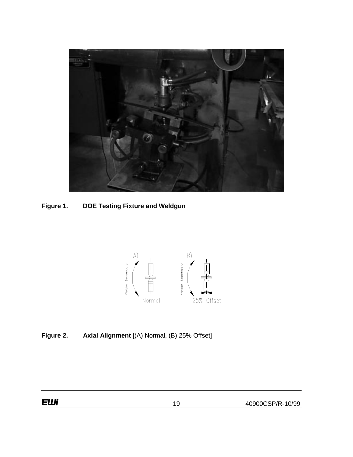

**Figure 1. DOE Testing Fixture and Weldgun**



**Figure 2. Axial Alignment** [(A) Normal, (B) 25% Offset]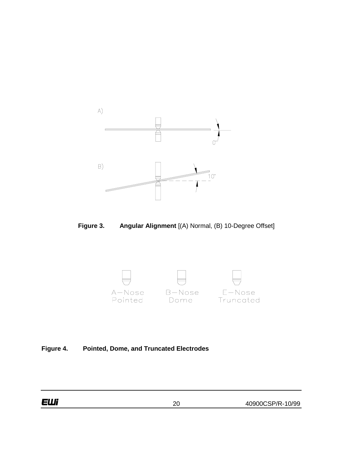

**Figure 3. Angular Alignment** [(A) Normal, (B) 10-Degree Offset]



## **Figure 4. Pointed, Dome, and Truncated Electrodes**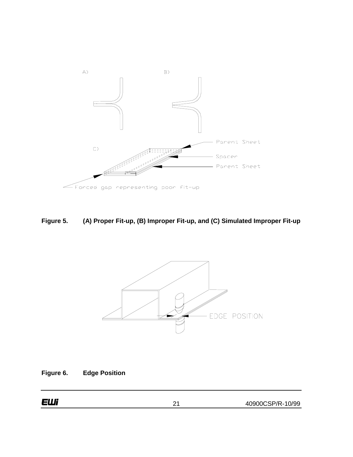

**Figure 5. (A) Proper Fit-up, (B) Improper Fit-up, and (C) Simulated Improper Fit-up**



**Figure 6. Edge Position**

40900CSP/R-10/99 21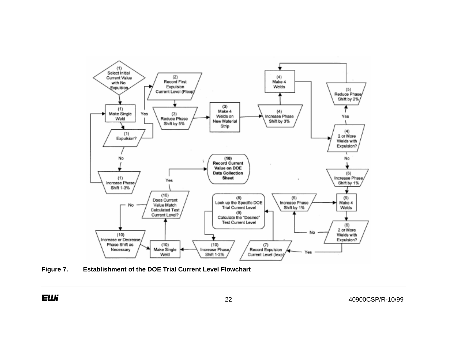

**Figure 7. Establishment of the DOE Trial Current Level Flowchart**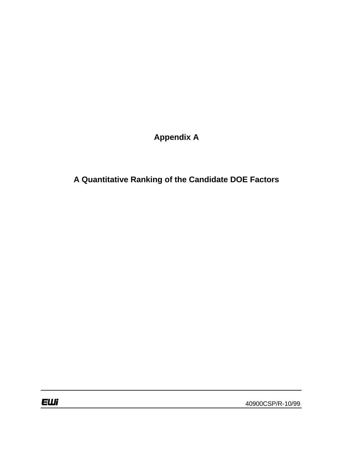**Appendix A**

**A Quantitative Ranking of the Candidate DOE Factors**

40900CSP/R-10/99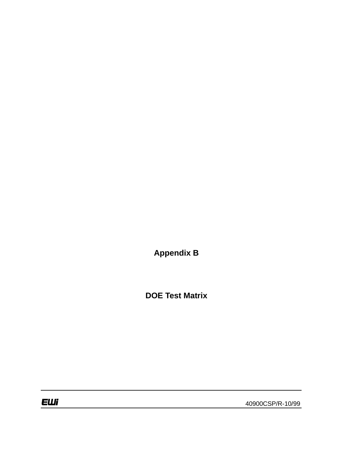**Appendix B**

**DOE Test Matrix**

**EWi** 

40900CSP/R-10/99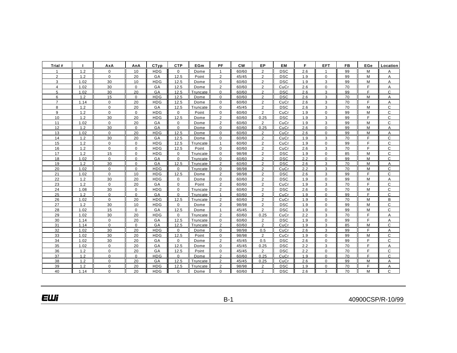| Trial #        |      | AxA          | AnA         | CTvp       | <b>CTP</b>  | EGm      | <b>PF</b>      | <b>CW</b> | ЕP             | <b>EM</b>  | F.  | <b>EFT</b>     | FB | EGe | Location     |
|----------------|------|--------------|-------------|------------|-------------|----------|----------------|-----------|----------------|------------|-----|----------------|----|-----|--------------|
|                | 1.2  | $\mathbf 0$  | 10          | <b>HDG</b> | $\Omega$    | Dome     | $\mathbf{1}$   | 60/60     | $\overline{2}$ | <b>DSC</b> | 2.6 | $\overline{1}$ | 99 | M   | А            |
| $\overline{2}$ | 1.2  | $\mathbf{0}$ | 20          | GA         | 12.5        | Point    | $\overline{2}$ | 45/45     | $\overline{2}$ | <b>DSC</b> | 1.9 | $\mathbf 0$    | 99 | M   | A            |
| 3              | 1.02 | 30           | 10          | <b>HDG</b> | 12.5        | Dome     | $\Omega$       | 60/60     | $\overline{2}$ | <b>DSC</b> | 1.9 | 3              | 99 | м   | A            |
| $\overline{4}$ | 1.02 | 30           | $\mathbf 0$ | GA         | 12.5        | Dome     | $\overline{2}$ | 60/60     | $\overline{2}$ | CuCr       | 2.6 | $\mathbf 0$    | 70 | F   | Α            |
| 5              | 1.02 | 30           | 20          | GA         | 12.5        | Truncate | $\Omega$       | 60/60     | $\overline{c}$ | <b>DSC</b> | 2.6 | 3              | 99 | F   | $\mathsf{C}$ |
| 6              | 1.2  | 15           | $\mathbf 0$ | <b>HDG</b> | 12.5        | Dome     | $\mathbf 0$    | 60/60     | 2              | <b>DSC</b> | 2.6 | 3              | 70 | M   | A            |
| $\overline{7}$ | 1.14 | $\mathbf 0$  | 20          | <b>HDG</b> | 12.5        | Dome     | $\mathbf 0$    | 60/60     | $\overline{2}$ | CuCr       | 2.6 | 3              | 70 | F   | A            |
| 8              | 1.2  | $\mathbf{0}$ | 20          | GA         | 12.5        | Truncate | $\Omega$       | 45/45     | $\overline{c}$ | <b>DSC</b> | 2.6 | 3              | 70 | M   | $\mathsf{C}$ |
| 9              | 1.2  | $\mathbf 0$  | $\mathbf 0$ | <b>HDG</b> | $\mathbf 0$ | Point    | $\mathbf 0$    | 60/60     | $\overline{2}$ | CuCr       | 1.9 | $\mathbf 0$    | 99 | M   | $\mathsf{C}$ |
| 10             | 1.2  | 30           | 20          | <b>HDG</b> | 12.5        | Dome     | 2              | 60/60     | 0.25           | <b>DSC</b> | 1.9 | 3              | 99 | E   | C            |
| 11             | 1.02 | $\Omega$     | 20          | GA         | $\Omega$    | Dome     | $\overline{2}$ | 60/60     | $\overline{2}$ | CuCr       | 1.9 | 3              | 99 | M   | $\mathsf{C}$ |
| 12             | 1.2  | 30           | $\mathbf 0$ | GA         | $\mathbf 0$ | Dome     | $\Omega$       | 60/60     | 0.25           | CuCr       | 2.6 | $\mathbf 0$    | 99 | M   | A            |
| 13             | 1.02 | $\mathbf{0}$ | 20          | <b>HDG</b> | 12.5        | Dome     | $\Omega$       | 60/60     | $\overline{2}$ | CuCr       | 2.6 | $\mathbf 0$    | 99 | M   | Α            |
| 14             | 1.2  | 30           | 20          | GA         | 12.5        | Dome     | $\mathbf 0$    | 60/60     | $\overline{2}$ | CuCr       | 1.9 | 3              | 70 | F   | C            |
| 15             | 1.2  | 0            | $\mathbf 0$ | <b>HDG</b> | 12.5        | Truncate | $\mathbf{1}$   | 60/60     | 2              | CuCr       | 1.9 | $\mathbf 0$    | 99 | E   | $\mathsf{C}$ |
| 16             | 1.2  | $\mathbf{0}$ | $\mathbf 0$ | <b>HDG</b> | 12.5        | Point    | $\mathbf 0$    | 60/60     | $\overline{2}$ | CuCr       | 2.6 | 3              | 70 | E   | $\mathsf{C}$ |
| 17             | 1.2  | 15           | $\mathbf 0$ | <b>HDG</b> | 0           | Truncate | $\Omega$       | 98/98     | 2              | <b>DSC</b> | 1.9 | $\mathbf 0$    | 85 | M   | C            |
| 18             | 1.02 | $\mathbf 0$  | $\Omega$    | GA         | $\Omega$    | Truncate | $\Omega$       | 60/60     | $\overline{c}$ | <b>DSC</b> | 2.2 | $\mathbf 0$    | 99 | M   | C            |
| 19             | 1.2  | 30           | $\pmb{0}$   | GA         | 12.5        | Truncate | $\overline{2}$ | 60/60     | $\overline{c}$ | <b>DSC</b> | 2.6 | 3              | 70 | M   | Α            |
| 20             | 1.02 | $\mathbf 0$  | $\Omega$    | <b>HDG</b> | $\Omega$    | Truncate | $\Omega$       | 98/98     | $\overline{2}$ | CuCr       | 2.2 | 3              | 70 | М   | $\mathsf{C}$ |
| 21             | 1.02 | $\mathbf 0$  | 10          | <b>HDG</b> | 12.5        | Dome     | $\overline{2}$ | 98/98     | $\overline{2}$ | <b>DSC</b> | 2.6 | 3              | 99 | F   | $\mathsf{C}$ |
| 22             | 1.2  | 30           | 20          | <b>HDG</b> | 0           | Dome     | 0              | 60/60     | $\overline{c}$ | <b>DSC</b> | 1.9 | $\mathbf 0$    | 99 | M   | Α            |
| 23             | 1.2  | $\mathbf{0}$ | 20          | GA         | $\mathbf 0$ | Point    | 2              | 60/60     | $\overline{2}$ | CuCr       | 1.9 | 3              | 70 | F   | $\mathsf{C}$ |
| 24             | 1.08 | 30           | $\mathbf 0$ | <b>HDG</b> | $\mathbf 0$ | Truncate | 2              | 60/60     | 2              | <b>DSC</b> | 2.6 | $\mathbf 0$    | 70 | M   | C            |
| 25             | 1.2  | $\mathbf 0$  | $\Omega$    | GA         | $\Omega$    | Truncate | $\mathbf{1}$   | 60/60     | $\overline{2}$ | CuCr       | 1.9 | $\Omega$       | 99 | F   | $\mathsf{C}$ |
| 26             | 1.02 | $\Omega$     | 20          | <b>HDG</b> | 12.5        | Truncate | $\overline{2}$ | 60/60     | $\overline{2}$ | CuCr       | 1.9 | $\Omega$       | 70 | M   | B            |
| 27             | 1.2  | 30           | 10          | <b>HDG</b> | $\mathbf 0$ | Dome     | $\overline{2}$ | 98/98     | $\overline{2}$ | <b>DSC</b> | 1.9 | $\mathbf 0$    | 99 | M   | C            |
| 28             | 1.02 | 15           | $\mathbf 0$ | GA         | 12.5        | Dome     | $\mathbf{1}$   | 45/45     | $\overline{c}$ | <b>DSC</b> | 1.9 | $\mathbf 0$    | 99 | M   | $\mathsf{C}$ |
| 29             | 1.02 | 30           | 20          | <b>HDG</b> | $\mathbf 0$ | Truncate | $\overline{2}$ | 60/60     | 0.25           | CuCr       | 2.2 | 3              | 70 | F   | A            |
| 30             | 1.14 | $\mathbf 0$  | 20          | GA         | 12.5        | Truncate | $\mathbf 0$    | 60/60     | $\overline{2}$ | <b>DSC</b> | 1.9 | $\mathbf 0$    | 99 | F   | A            |
| 31             | 1.14 | $\Omega$     | $\Omega$    | GA         | 12.5        | Truncate | $\overline{2}$ | 60/60     | $\overline{2}$ | CuCr       | 1.9 | 3              | 85 | M   | C            |
| 32             | 1.02 | 30           | 20          | <b>HDG</b> | $\mathbf 0$ | Dome     | $\mathbf{0}$   | 98/98     | 0.5            | CuCr       | 2.6 | 3              | 99 | F.  | A            |
| 33             | 1.02 | 30           | 20          | <b>HDG</b> | 12.5        | Point    | $\Omega$       | 98/98     | 2              | CuCr       | 1.9 | $\mathbf 0$    | 99 | M   | $\mathsf{C}$ |
| 34             | 1.02 | 30           | 20          | GA         | $\mathbf 0$ | Dome     | 2              | 45/45     | 0.5            | <b>DSC</b> | 2.6 | $\mathbf 0$    | 99 | F   | C            |
| 35             | 1.02 | 0            | 20          | GA         | 12.5        | Dome     | $\mathbf 0$    | 45/45     | 0.25           | <b>DSC</b> | 2.2 | 3              | 70 | F   | Α            |
| 36             | 1.2  | $\Omega$     | 20          | GA         | 12.5        | Point    | $\Omega$       | 45/45     | $\overline{2}$ | <b>DSC</b> | 2.2 | $\mathbf 0$    | 70 | E   | $\mathsf{C}$ |
| 37             | 1.2  | $\mathbf 0$  | $\mathbf 0$ | <b>HDG</b> | $\mathbf 0$ | Dome     | 2              | 60/60     | 0.25           | CuCr       | 1.9 | $\mathbf 0$    | 70 | F.  | $\mathsf{C}$ |
| 38             | 1.2  | $\Omega$     | 20          | GA         | 12.5        | Truncate | 2              | 45/45     | 0.25           | CuCr       | 2.6 | $\Omega$       | 99 | M   | A            |
| 39             | 1.2  | $\Omega$     | 20          | <b>HDG</b> | 12.5        | Truncate | $\overline{2}$ | 98/98     | $\overline{2}$ | <b>DSC</b> | 1.9 | $\Omega$       | 70 | F   | А            |
| 40             | 1.14 | $\Omega$     | 20          | <b>HDG</b> | $\mathbf 0$ | Dome     | $\Omega$       | 60/60     | $\overline{2}$ | <b>DSC</b> | 2.6 | 3              | 70 | M   | $\mathsf{C}$ |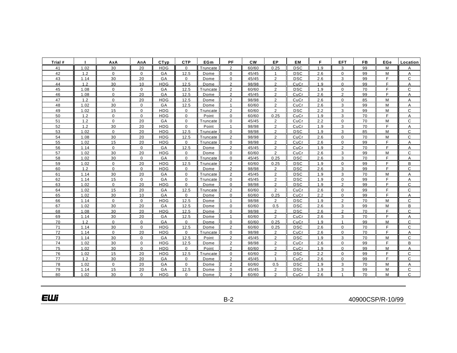| Trial # |      | AxA            | AnA         | CTyp       | <b>CTP</b>   | EGm             | <b>PF</b>      | <b>CW</b> | EP             | <b>EM</b>  | F.  | <b>EFT</b>     | <b>FB</b> | EGe | Location     |
|---------|------|----------------|-------------|------------|--------------|-----------------|----------------|-----------|----------------|------------|-----|----------------|-----------|-----|--------------|
| 41      | 1.02 | 30             | 20          | <b>HDG</b> | $\mathbf{0}$ | Truncate        | $\overline{2}$ | 60/60     | 0.25           | <b>DSC</b> | 1.9 | 3              | 99        | М   | A            |
| 42      | 1.2  | $\overline{0}$ | $\mathbf 0$ | GA         | 12.5         | Dome            | $\mathbf 0$    | 45/45     | 1              | <b>DSC</b> | 2.6 | 0              | 99        | M   | A            |
| 43      | 1.14 | 30             | 20          | GA         | 0            | Dome            | 0              | 45/45     | $\overline{2}$ | <b>DSC</b> | 2.6 | 3              | 99        | F   | C            |
| 44      | 1.2  | 30             | 10          | <b>HDG</b> | 12.5         | Dome            | $\overline{2}$ | 98/98     | $\overline{2}$ | CuCr       | 1.9 | $\Omega$       | 99        | F.  | A            |
| 45      | 1.08 | 0              | $\mathbf 0$ | GA         | 12.5         | Truncate        | 2              | 60/60     | $\overline{2}$ | <b>DSC</b> | 1.9 | $\mathbf 0$    | 70        | F.  | $\mathsf{C}$ |
| 46      | 1.08 | 0              | 20          | GA         | 12.5         | Dome            | $\overline{2}$ | 45/45     | $\overline{2}$ | CuCr       | 2.6 | $\overline{2}$ | 99        | F.  | Α            |
| 47      | 1.2  | 0              | 20          | <b>HDG</b> | 12.5         | Dome            | $\overline{2}$ | 98/98     | $\overline{2}$ | CuCr       | 2.6 | $\mathbf 0$    | 85        | M   | A            |
| 48      | 1.02 | 30             | 0           | GA         | 12.5         | Dome            | $\mathbf{1}$   | 60/60     | $\overline{2}$ | CuCr       | 2.6 | 3              | 99        | М   | Α            |
| 49      | 1.02 | 15             | $\mathbf 0$ | <b>HDG</b> | 0            | Truncate        | $\overline{2}$ | 60/60     | $\overline{2}$ | <b>DSC</b> | 2.2 | 3              | 99        | M   | C            |
| 50      | 1.2  | 0              | $\Omega$    | <b>HDG</b> | $\mathbf 0$  | Point           | $\Omega$       | 60/60     | 0.25           | CuCr       | 1.9 | 3              | 70        | F.  | A            |
| 51      | 1.2  | 0              | 20          | GA         | $\mathbf 0$  | Truncate        | 0              | 45/45     | $\overline{2}$ | CuCr       | 2.2 | 0              | 70        | М   | C            |
| 52      | 1.2  | 30             | 20          | <b>HDG</b> | $\Omega$     | Point           | $\mathbf{1}$   | 98/98     | $\overline{2}$ | CuCr       | 1.9 | 3              | 70        | F.  | Α            |
| 53      | 1.02 | 0              | 20          | <b>HDG</b> | 12.5         | Truncate        | $\mathbf 0$    | 98/98     | $\overline{2}$ | <b>DSC</b> | 1.9 | 3              | 85        | М   | C            |
| 54      | 1.08 | 30             | 20          | <b>HDG</b> | 12.5         | <b>Truncate</b> | $\overline{2}$ | 98/98     | $\overline{2}$ | CuCr       | 2.6 | $\Omega$       | 70        | М   | C            |
| 55      | 1.02 | 15             | 20          | <b>HDG</b> | $\mathbf 0$  | Truncate        | $\mathbf 0$    | 98/98     | $\overline{2}$ | CuCr       | 2.6 | $\mathbf 0$    | 99        | F.  | A            |
| 56      | 1.14 | $\mathbf 0$    | $\mathbf 0$ | GA         | 12.5         | Dome            | $\overline{2}$ | 45/45     | $\overline{2}$ | CuCr       | 1.9 | $\overline{2}$ | 70        | F.  | A            |
| 57      | 1.02 | 30             | 20          | <b>HDG</b> | $\mathbf 0$  | Dome            | $\Omega$       | 60/60     | $\overline{2}$ | CuCr       | 2.6 | 3              | 99        | M   | $\mathsf{C}$ |
| 58      | 1.02 | 30             | $\mathbf 0$ | GA         | $\mathbf 0$  | Truncate        | $\mathbf 0$    | 45/45     | 0.25           | <b>DSC</b> | 2.6 | 3              | 70        | F   | A            |
| 59      | 1.02 | 0              | 20          | <b>HDG</b> | 12.5         | Truncate        | 2              | 60/60     | 0.25           | <b>DSC</b> | 1.9 | 0              | 99        | F.  | B            |
| 60      | 1.2  | 0              | $\Omega$    | <b>HDG</b> | $\mathbf 0$  | Dome            | $\overline{2}$ | 98/98     | $\overline{2}$ | <b>DSC</b> | 2.6 | 3              | 99        | F   | C            |
| 61      | 1.14 | 30             | 20          | GA         | $\mathbf 0$  | Truncate        | $\overline{2}$ | 45/45     | $\overline{2}$ | <b>DSC</b> | 1.9 | 3              | 70        | M   | A            |
| 62      | 1.14 | 15             | $\mathbf 0$ | GA         | $\mathbf 0$  | Truncate        | $\mathbf 0$    | 45/45     | $\overline{2}$ | <b>DSC</b> | 1.9 | 0              | 99        | F.  | Α            |
| 63      | 1.02 | $\Omega$       | 20          | <b>HDG</b> | $\Omega$     | Dome            | $\Omega$       | 98/98     | $\overline{2}$ | <b>DSC</b> | 1.9 | $\overline{2}$ | 99        | F.  | $\mathsf{C}$ |
| 64      | 1.02 | 15             | 20          | GA         | 12.5         | Truncate        | $\overline{2}$ | 60/60     | $\overline{c}$ | CuCr       | 2.6 | 0              | 99        | F.  | C            |
| 65      | 1.02 | 30             | 10          | GA         | $\mathbf 0$  | Dome            | $\Omega$       | 60/60     | 0.25           | CuCr       | 2.2 | $\Omega$       | 99        | F.  | A            |
| 66      | 1.14 | $\mathbf 0$    | $\mathbf 0$ | <b>HDG</b> | 12.5         | Dome            | $\mathbf{1}$   | 98/98     | $\overline{2}$ | <b>DSC</b> | 1.9 | $\overline{2}$ | 70        | M   | C            |
| 67      | 1.02 | 30             | 20          | GA         | 12.5         | Dome            | $\mathbf 0$    | 60/60     | 0.5            | <b>DSC</b> | 2.6 | 3              | 99        | M   | B            |
| 68      | 1.08 | 30             | 20          | <b>HDG</b> | 12.5         | Dome            | $\mathbf 0$    | 98/98     | $\overline{2}$ | <b>DSC</b> | 2.6 | $\overline{2}$ | 70        | F.  | C            |
| 69      | 1.14 | 30             | 20          | GA         | 12.5         | Dome            | $\mathbf{1}$   | 60/60     | $\overline{2}$ | CuCr       | 2.6 | 3              | 70        | F.  | Α            |
| 70      | 1.2  | 0              | $\mathbf 0$ | GA         | $\mathbf 0$  | Dome            | 0              | 60/60     | 0.25           | CuCr       | 1.9 | $\mathbf{1}$   | 99        | M   | C            |
| 71      | 1.14 | 30             | $\Omega$    | <b>HDG</b> | 12.5         | Dome            | $\overline{2}$ | 60/60     | 0.25           | <b>DSC</b> | 2.6 | $\Omega$       | 70        | F.  | $\mathsf{C}$ |
| 72      | 1.14 | 0              | 20          | <b>HDG</b> | $\mathbf 0$  | Truncate        | $\mathbf 0$    | 98/98     | 2              | CuCr       | 2.6 | $\mathbf 0$    | 70        | F.  | Α            |
| 73      | 1.14 | 30             | $\mathbf 0$ | GA         | 12.5         | Point           | $\overline{2}$ | 45/45     | $\overline{2}$ | <b>DSC</b> | 1.9 | 3              | 70        | M   | $\mathsf C$  |
| 74      | 1.02 | 30             | $\mathbf 0$ | <b>HDG</b> | 12.5         | Dome            | $\overline{2}$ | 98/98     | $\overline{2}$ | CuCr       | 2.6 | $\mathbf 0$    | 99        | F.  | B            |
| 75      | 1.02 | 30             | $\mathbf 0$ | <b>HDG</b> | $\mathbf 0$  | Point           | $\overline{2}$ | 60/60     | $\overline{2}$ | CuCr       | 1.9 | $\Omega$       | 99        | М   | A            |
| 76      | 1.02 | 15             | 20          | <b>HDG</b> | 12.5         | Truncate        | $\Omega$       | 60/60     | $\overline{2}$ | <b>DSC</b> | 2.2 | $\Omega$       | 99        | F.  | C            |
| 77      | 1.2  | 30             | 20          | GA         | $\mathbf 0$  | Dome            | $\overline{2}$ | 45/45     | $\mathbf{1}$   | CuCr       | 2.6 | $\mathbf 0$    | 99        | F.  | $\mathsf{C}$ |
| 78      | 1.02 | $\mathbf 0$    | 20          | GA         | $\Omega$     | Dome            | $\overline{2}$ | 60/60     | 0.5            | <b>DSC</b> | 1.9 | 3              | 70        | M   | A            |
| 79      | 1.14 | 15             | 20          | GA         | 12.5         | Dome            | $\mathbf 0$    | 45/45     | $\overline{2}$ | <b>DSC</b> | 1.9 | 3              | 99        | M   | C            |
| 80      | 1.02 | 30             | $\Omega$    | <b>HDG</b> | 0            | Dome            | 2              | 60/60     | $\overline{2}$ | CuCr       | 2.6 | 1              | 70        | М   | $\mathsf{C}$ |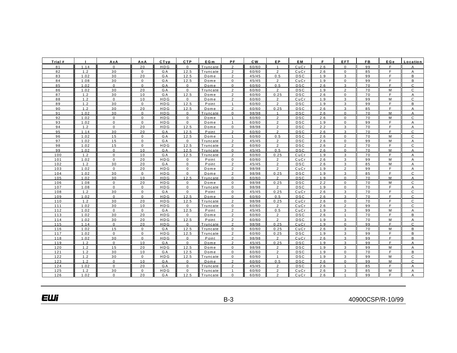| Trial #    |             | AxA            | AnA          | CTyp             | <b>CTP</b>          | EGm                  | PF             | <b>CW</b> | EP                               | EM         |            | EFT            | <b>FB</b> | EGe    | Location       |
|------------|-------------|----------------|--------------|------------------|---------------------|----------------------|----------------|-----------|----------------------------------|------------|------------|----------------|-----------|--------|----------------|
| 81         | 1.14        | $\Omega$       | 20           | <b>HDG</b>       | $\mathbf{0}$        | Truncate             | 2              | 60/60     | $\overline{1}$                   | CuCr       | 2.6        | $\mathbf{0}$   | 99        | F.     | A              |
| 82         | 1.2         | 30             | $\mathbf 0$  | G A              | 12.5                | Truncate             | $\overline{2}$ | 60/60     | $\overline{2}$                   | CuCr       | 2.6        | $\mathbf{0}$   | 85        | F.     | A              |
| 83         | 1.02        | 30             | 20           | G A              | 12.5                | Dome                 | 2              | 45/45     | 0.5                              | <b>DSC</b> | 1.9        | 3              | 99        | F.     | B              |
| 84         | 1.08        | 30             | $\mathbf 0$  | GA               | 12.5                | Dome                 | $\mathbf 0$    | 45/45     | $\overline{2}$                   | CuCr       | 1.9        | $\mathbf 0$    | 99        | F.     | В              |
| 85         | 1.02        | $\mathbf 0$    | $\mathbf 0$  | GA               | $\mathbf 0$         | Dome                 | $\mathbf 0$    | 60/60     | 0.5                              | <b>DSC</b> | 2.6        | 3              | 70        | F.     | C              |
| 86         | 1.02        | 30             | 20           | GA               | $\mathsf 0$         | Truncate             | $\overline{2}$ | 60/60     | $\overline{2}$                   | <b>DSC</b> | 1.9        | $\overline{2}$ | 70        | M      | C              |
| 87         | 1.2         | 30             | 10           | GA               | 12.5                | Dome                 | $\overline{2}$ | 60/60     | 0.25                             | <b>DSC</b> | 2.6        | $\mathbf 0$    | 70        | F.     | A              |
| 88         | 1.2         | $\Omega$       | 10           | <b>HDG</b>       | $\mathbf{0}$        | Dome                 | $\mathfrak{p}$ | 60/60     | $\overline{2}$                   | CuCr       | 1.9        | 3              | 99        | M      | C              |
| 89         | 1.2         | 30             | $\mathbf 0$  | HDG              | 12.5                | Point                | $\mathbf{1}$   | 60/60     | $\overline{2}$                   | <b>DSC</b> | 1.9        | 3              | 99        | F.     | В              |
| 90         | 1.2         | 30             | 20           | <b>HDG</b>       | 12.5                | Dome                 | $\mathcal{P}$  | 60/60     | 0.25                             | <b>DSC</b> | 2.6        | 3              | 85        | F.     | A              |
| 91         | 1.02        | 30             | $\mathbf{0}$ | <b>HDG</b>       | $\mathbf 0$         | Truncate             | $\mathbf 0$    | 98/98     | $\mathbf{1}$                     | <b>DSC</b> | 2.6        | $\mathbf 0$    | 70        | M      | A              |
| 92         | 1.02        | $\mathsf 0$    | $\mathbf 0$  | HDG              | $\mathsf 0$         | Dome                 | $\mathbf{1}$   | 60/60     | $\overline{2}$                   | <b>DSC</b> | 2.6        | 0              | 70        | М      | C              |
| 93         | 1.02        | $\mathbf 0$    | $\Omega$     | <b>HDG</b>       | $\mathbf{0}$        | Dome                 | $\overline{1}$ | 60/60     | $\overline{2}$                   | <b>DSC</b> | 1.9        | $\mathbf 0$    | 99        | F.     | $\overline{A}$ |
| 94         | 1.2         | $\mathbf 0$    | 20           | HDG              | 12.5                | Dome                 | $\mathbf 0$    | 98/98     | $\overline{2}$                   | <b>DSC</b> | 2.2        | 3              | 70        | F.     | Α              |
| 95         | 1.14        | 30             | 20           | GA               | 12.5                | Point                | $\overline{2}$ | 60/60     | $\overline{2}$                   | <b>DSC</b> | 2.6        | 3              | 70        | F.     | C              |
| 96         | 1.02        | 15             | $\mathbf 0$  | GA               | 12.5                | Dome                 | $\mathbf{1}$   | 60/60     | 0.5                              | <b>DSC</b> | 2.6        | $\mathsf 0$    | 70        | M      | C              |
| 97         | 1.02        | 15             | $\mathbf 0$  | GA               | $\mathbf 0$         | Truncate             | $\overline{2}$ | 45/45     | $\overline{2}$                   | <b>DSC</b> | 2.6        | 0              | 99        | M      | Α              |
| 98         | 1.02        | 15             | $\Omega$     | <b>HDG</b>       | 12.5                | Truncate             | $\overline{2}$ | 60/60     | $\overline{2}$                   | <b>DSC</b> | 2.6        | $\overline{2}$ | 70        | F.     | $\mathsf{C}$   |
| 99         | 1.02        | $\mathbf 0$    | 10           | G A              | 12.5                | Truncate             | 0              | 45/45     | 0.5                              | DSC        | 2.6        | 0              | 70        | М      | Α              |
| 100        | 1.2         | $\mathbf 0$    | 10           | GA               | 12.5                | Truncate             | $\overline{2}$ | 60/60     | 0.25                             | CuCr       | 1.9        | 3              | 70        | F.     | Α              |
| 101        | 1.02        | $\Omega$       | 20           | <b>HDG</b>       | $\mathsf 0$         | Point                | $\mathsf 0$    | 60/60     | $\overline{2}$                   | CuCr       | 2.6        | 3              | 99        | M      | A              |
| $102$      | 1.2         | 30             | 20           | G A              | $\mathbf 0$         | Point                | 2              | 45/45     | $\overline{2}$                   | <b>DSC</b> | 2.6        | 3              | 85        | M      | $\overline{A}$ |
| 103        | 1.02        | $\mathbf 0$    | 20           | <b>HDG</b>       | $\mathsf 0$         | Dome                 | $\overline{2}$ | 98/98     | $\overline{2}$                   | CuCr       | 1.9        | 2              | 99        | F.     | $\overline{A}$ |
| 104        | 1.02        | 30             | $\mathbf{0}$ | HDG              | $\mathbf 0$         | Dome                 | $\overline{2}$ | 98/98     | 0.25                             | <b>DSC</b> | 1.9        | 3              | 85        | F.     | $\mathsf C$    |
| 105        | 1.02        | 30             | 10           | <b>HDG</b>       | 12.5                | Truncate             | $\mathbf 0$    | 60/60     | $\overline{2}$                   | <b>DSC</b> | 1.9        | $\Omega$       | 70        | M      | $\overline{A}$ |
| 106        | 1.08        | $\mathbf 0$    | 20           | HDG              | $\mathbf 0$         | Dome                 | $\mathbf 0$    | 98/98     | 0.25                             | <b>DSC</b> | 2.2        | 0              | 70        | М      | C              |
| 107        | 1.08        | $\mathbf 0$    | $\mathbf 0$  | HDG              | $\mathsf 0$         | Truncate             | $\mathbf 0$    | 98/98     | $\overline{2}$                   | <b>DSC</b> | 1.9        | $\Omega$       | 70        | F.     | Α              |
| 108        | 1.2         | 30             | $\mathbf{0}$ | GA               | $\mathsf 0$         | Point                | $\mathbf 0$    | 45/45     | 0.25                             | CuCr       | 2.6        | 3              | 70        | F.     | C              |
| 109        | 1.02        | $\mathbf 0$    | $\mathbf 0$  | HDG              | 12.5                | Dome                 | $\mathsf 0$    | 60/60     | 0.5                              | <b>DSC</b> | 2.6        | 3              | 70        | F.     | C              |
| 110        | 1.2         | 30             | 20           | <b>HDG</b>       | 12.5                | Truncate             | $\overline{2}$ | 98/98     | 0.25                             | CuCr       | 2.6        | $\mathbf 0$    | 70        | F.     | $\mathsf{C}$   |
| 111        | 1.02        | 30             | 10           | HDG              | $\mathbf 0$         | Truncate             | $\mathbf 0$    | 60/60     | $\overline{2}$                   | CuCr       | 2.6        | $\overline{2}$ | 99        | F.     | C              |
| 112        | 1.02        | $\mathbf 0$    | $\mathbf 0$  | G A              | 12.5                | Point                | 2              | 45/45     | 0.5                              | CuCr       | 1.9        | 3              | 99        | М      | A              |
| 113        | 1.02        | 30             | 20           | <b>HDG</b>       | $\mathbf 0$         | Dome                 | $\overline{2}$ | 60/60     | $\overline{2}$                   | <b>DSC</b> | 2.6        | $\overline{1}$ | 70        | F.     | B              |
| 114        | 1.02        | 30             | 20           | HDG              | 12.5                | Point                | $\overline{2}$ | 60/60     | $\overline{2}$                   | <b>DSC</b> | 1.9        | 3              | 70        | M      | Α              |
| 115        | 1.14        | $\mathbf 0$    | 20           | <b>HDG</b>       | $\mathbf 0$         | Truncate             | $\overline{2}$ | 98/98     | 0.25                             | CuCr       | 1.9        | $\mathbf 0$    | 99        | F.     | $\mathsf{C}$   |
| 116        | 1.02        | 15             | $\mathbf 0$  | G A              | 12.5                | Truncate             | $\mathbf 0$    | 60/60     | 0.25                             | CuCr       | 2.6        | 3              | 70        | М      | B              |
| 117        | 1.02        | $\mathbf 0$    | $\Omega$     | <b>HDG</b>       | 12.5                | Truncate             | $\overline{2}$ | 60/60     | 0.25                             | <b>DSC</b> | 1.9        | 3              | 99        | F.     | B              |
| 118        | 1.02        | 30             | $\mathbf{0}$ | <b>HDG</b>       | $\mathsf 0$         | Point                | $\overline{2}$ | 98/98     | $\overline{2}$                   | CuCr       | 2.6        | 3              | 99        | F.     | B              |
| 119        | 1.2         | $\mathsf 0$    | 10           | GA               | $\mathsf 0$         | Dome                 | $\overline{2}$ | 45/45     | 0.25                             | <b>DSC</b> | 1.9        | 3              | 99        | F.     | Α              |
| 120        | 1.2         | 15             | 20           | <b>HDG</b>       | 12.5                | Dome                 | $\mathbf 0$    | 98/98     | $\overline{2}$                   | <b>DSC</b> | 1.9        | 3              | 99        | М      | A              |
| 121        | 1.2         | 30             | 10           | G A              | 12.5                | Dome                 | $\mathbf 0$    | 60/60     | $\overline{2}$                   | <b>DSC</b> | 1.9        | $\mathbf 0$    | 70        | F.     | $\, {\bf B}$   |
| 122        | 1.2         | 30             | $\mathbf 0$  | <b>HDG</b>       | 12.5                | Truncate             | $\mathbf 0$    | 60/60     | -1                               | <b>DSC</b> | 1.9        | 3              | 99        | M      | C              |
| 123        | 1.2         | $\mathbf 0$    | 10           | G A              | $\mathbf 0$         | Dome                 | $\overline{2}$ | 60/60     | 0.5                              | <b>DSC</b> | 2.6        | $\mathbf 0$    | 99        | М      | $\mathsf{C}$   |
| 124        | 1.02        | $\mathbf 0$    | 20           | G A              | $\mathbf 0$         | Truncate             | $\overline{2}$ | 45/45     | $\overline{2}$                   | <b>DSC</b> | 2.6        | $\mathbf{1}$   | 85        | F.     | $\overline{A}$ |
| 125<br>126 | 1.2<br>1.02 | 30<br>$\Omega$ | $\mathbf 0$  | <b>HDG</b><br>GA | $\mathbf 0$<br>12.5 | Truncate<br>Truncate | $\overline{1}$ | 60/60     | $\overline{2}$<br>$\overline{2}$ | CuCr       | 2.6<br>2.6 | 3              | 85        | M<br>F | $\overline{A}$ |
|            |             |                | 20           |                  |                     |                      | 0              | 60/60     |                                  | CuCr       |            |                | 99        |        | Α              |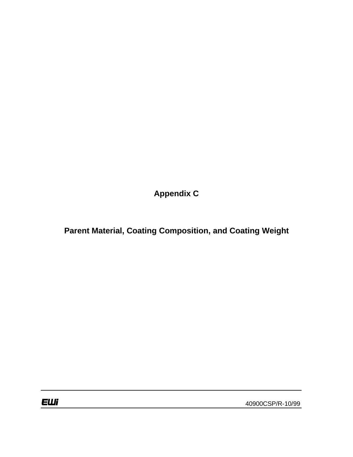**Appendix C**

**Parent Material, Coating Composition, and Coating Weight**

40900CSP/R-10/99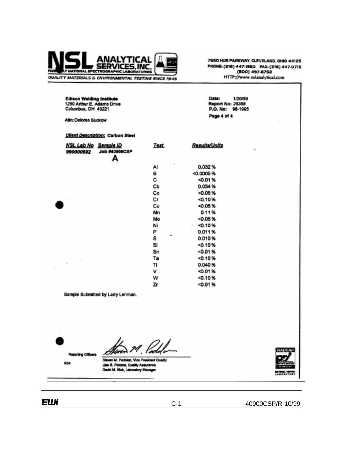

7650 HUB PARKWAY, CLEVELAND, OHIO 44125 PHONE: (216) 447-1550 FAX: (216) 447-0716 (800) 497-6752 HTTP://www.nslanalytical.com

Edison Welding Institute<br>1250 Arthur E. Adams Drive<br>Columbus, OH 43221 Date: 1/20/99 **Report No: 28355** P.O. No: 98-1995 Page 4 of 4 Attn: Delores Suckow Client Description: Carbon Steel NSL Lab No Sample ID **Test Results/Units** 990000692 **Job #40900CSP** А 0.032% Al в  $< 0.0005 %$ c  $0.01%$ CЬ 0.034%  $-0.05%$ Co Сr  $0.10%$ Cu  $0.05%$ Mn  $0.11%$ Mo  $0.05%$ Ni  $-0.10%$ P  $0.011%$ s 0.010% Si  $-0.10%$ Sn  $0.01%$  $40.10%$ Ta  $0.040%$ Tì v  $50.01%$ w  $-0.10%$ Zr  $< 0.01%$ 

Sample Submitted by Larry Lehman.



Steven M. Podolan, Vice President Quality Lies R. Potoms, Quality Assurance Devid M. Kluk, Laboratory Manager



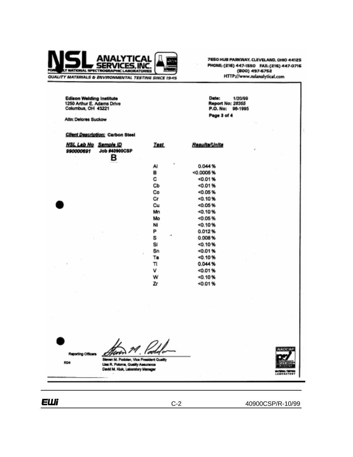

7650 HUB PARKWAY, CLEVELAND, OHIO 44125 PHONE: (216) 447-1550 FAX: (216) 447-0716 (800) 497-6752<br>HTTP://www.nslanalytical.com

1/20/99

Date:

**Report No: 28355** P.O. No: 96-1995 Page 3 of 4

Edison Welding Institute<br>1250 Arthur E. Adams Drive<br>Columbus, OH 43221

Attn: Delores Suckow

**Client Description: Carbon Steel** 

| <u>NSL Lab No</u><br>990000691 | Sample ID<br><b>Job #40900CSP</b><br>в | <b>Test</b>                | Results/Units | $\cdot$ |
|--------------------------------|----------------------------------------|----------------------------|---------------|---------|
|                                |                                        | $\overline{a}$<br>Al       | 0.044%        |         |
|                                |                                        | в                          | <0.0005%      |         |
|                                |                                        | с                          | 0.01%         |         |
|                                |                                        | Сb                         | 0.01%         |         |
|                                |                                        | Co                         | <0.05%        |         |
|                                |                                        | Сr                         | < 0.10%       |         |
|                                |                                        | Cu                         | $-0.05%$      |         |
|                                |                                        | Mn                         | 0.10%         |         |
|                                |                                        | Mo                         | $-0.05%$      |         |
|                                |                                        | NI                         | 50.10%        |         |
|                                |                                        | P                          | 0.012%        |         |
|                                |                                        | $\sqrt{2}$<br>s            | 0.008%        |         |
|                                |                                        | SI                         | 0.10%         |         |
|                                |                                        | Sn                         | <0.01%        |         |
|                                |                                        | $\scriptstyle\rm{e}$<br>Ta | 0.10%         |         |
| $\sim$                         |                                        | π                          | 0.044%        |         |
|                                |                                        | ٧                          | <0.01%        |         |
|                                |                                        | w                          | $-0.10%$      |         |
|                                |                                        | Zr                         | <0.01%        |         |

Reporting Officers

**ROA** 

<u>Ifiri</u>



Steven M. Podolan, Vice President Qualit Lisa R. Potoma, Quelity Assurance<br>David M. Kluk, Laboratory Menager

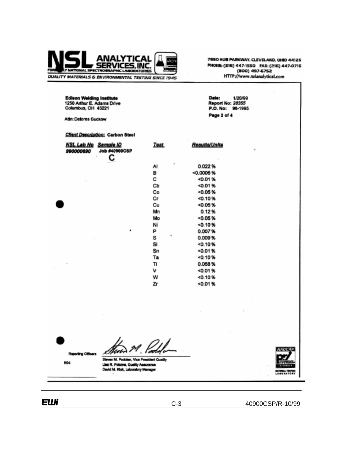

7650 HUB PARKWAY, CLEVELAND, OHIO 44125 PHONE: (216) 447-1550 FAX: (216) 447-0716 (800) 497-6752 HTTP://www.nslanalytical.com

**Edison Welding Institute** Date: 1/20/99 1250 Arthur E. Adams Drive<br>Columbus, OH 43221 **Report No: 28355** P.O. No: 98-1995 Page 2 of 4 Attn: Delores Suckow Client Description: Carbon Steel **NSL Lab No** Sample ID **Test** Results/Units **Job #40900CSP** 990000690 С 0.022% Al в  $0.0005%$ с <0.01% Cb <0.01%  $0.05%$ Co Cr <0.10% Cu  $< 0.05%$ Mn  $0.12%$  $< 0.05 %$ Mo Ni  $< 0.10%$ P 0.007% S 0.009% Si  $< 0.10%$ Sn <0.01% <0.10% Ta 0.068% Ti v <0.01%  $< 0.10%$ W Zr  $< 0.01%$ 



**Reporting Officers** 

ROA

ident Qua Sh. en M. Podolen, Vice Pre Lisa R. Potome, Quality Assurance David M. Kka, Laboratory Menager

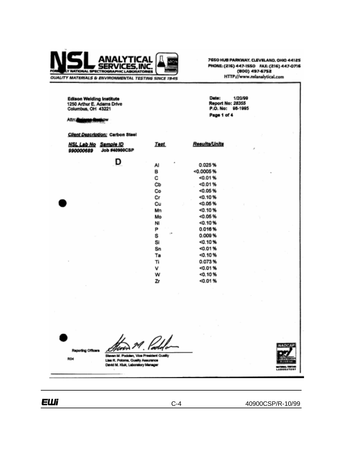

7650 HUB PARKWAY, CLEVELAND, OHIO 44125 PHONE: (216) 447-1550 FAX: (216) 447-0716 (800) 497-6752 HTTP://www.nslanalytical.com

Edison Welding Institute<br>1250 Arthur E. Adams Drive<br>Columbus, OH 43221 Date: 1/20/99 **Report No: 28355** P.O. No: 98-1995 Page 1 of 4 Attn: Delarge Guesow **Client Description: Carbon Steel Results/Units Test NSL Lab No Sample ID** 990000689 **Job #40900CSP** D Al 0.025% в <0.0005% с  $0.01%$ Cb  $< 0.01%$ Co  $0.05%$ Cr <0.10% Cu <0.05%  $0.10%$ Mn Mo  $-0.05%$ Ni  $0.10%$ P  $0.016%$ S  $0.009%$  $0.10%$ Si  $Sn$ <0.01%  $< 0.10 %$ Ta 0.073% Tì v <0.01%  $0.10%$ w Zr  $< 0.01%$ 

Reporting Officers

**R04** 



Steven M. Pockten, Vice Pres dent Qualit Lisa R. Potoma, Quality Assurance<br>David M. Kluk, Laboratory Manager

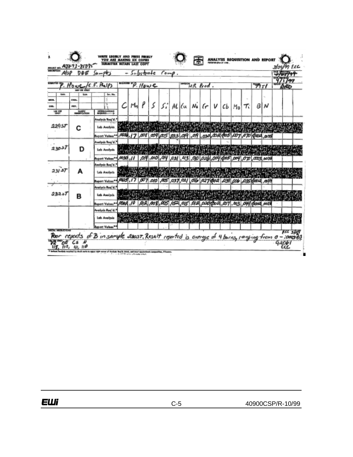| AlsP                             | DDE                                             | $9 - 96$                                                               |              |           | $e$ betrade |   |                                                       | $f \circ m \theta$ . |  |                                    |  |    |    |      |   |     |  |
|----------------------------------|-------------------------------------------------|------------------------------------------------------------------------|--------------|-----------|-------------|---|-------------------------------------------------------|----------------------|--|------------------------------------|--|----|----|------|---|-----|--|
|                                  | Hower/C.F. Phelps<br><b>LAD USE ONLY</b>        |                                                                        |              |           | P. Howe     |   |                                                       |                      |  | among R Prod.                      |  |    |    | アリェノ |   | ean |  |
| <b>Lists</b><br>œm.<br>om.<br>쌩ж | <b>Suits</b><br><b>CHA.</b><br>PRF.<br>searches | far, Ma.<br>DETERMARKS                                                 |              | м.        |             | 5 | s:                                                    |                      |  | $Al(\mu  N_{\bullet} \{r V \{b\})$ |  | Mo | Τ. | в    | N |     |  |
| 229.51                           |                                                 | Analesis Rog'd.<br><b>Leb Analysis</b><br>Report Volum <sup>a</sup>    | بمحصر        | .17       | .com        |   | ,009 025 033 019 019 030 024 025 007 070 000 035      |                      |  |                                    |  |    |    |      |   |     |  |
| تدمون                            | D                                               | Analysis Reg d.<br>Leb Analysis<br>keport Values <sup>are</sup>        | 11. اتلا: 0. |           |             |   | 07 003 003 034 034 036 04 004 009 009 009 009 000 000 |                      |  |                                    |  |    |    |      |   |     |  |
| 231.57                           |                                                 | Anolysis Reg'd."<br>Leb Asoleria<br>Ruport Values**                    | ANS, 17      |           |             |   | 007 010 A25 037 021 016 027 000 039 006 035 000 034   |                      |  |                                    |  |    |    |      |   |     |  |
| 23257                            | в                                               | Analysis Req'd."<br><b>Leb Analysis</b><br>Report Values <sup>es</sup> |              |           |             |   |                                                       |                      |  |                                    |  |    |    |      |   |     |  |
|                                  |                                                 | Analysis Reg'd.<br>Lab Analysis<br><b>Appart Values*</b>               |              | 计对称数据 计分解 |             |   |                                                       |                      |  |                                    |  |    |    |      |   |     |  |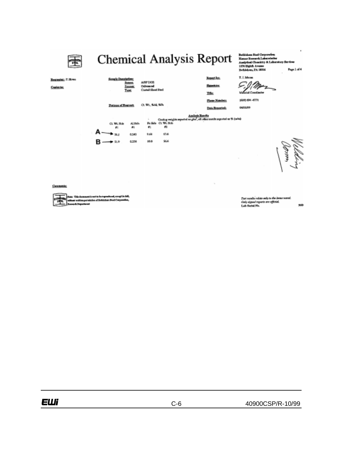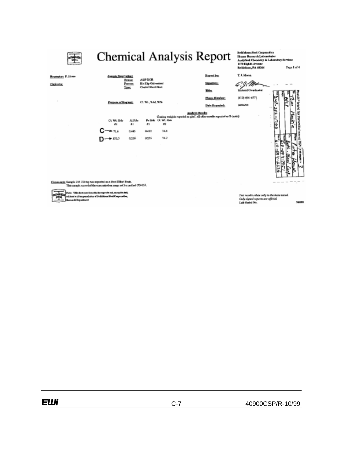

is: This document is not to be regressive ad<sub>e</sub> strept in Init,<br>bust written permission of Fettbions Start Corporation, oni vzitim pomis<br>sodi. Depozitoret

Tast results raints only to the form insted<br>Only signed reports are afficiel.<br>Lab Serial No. 56850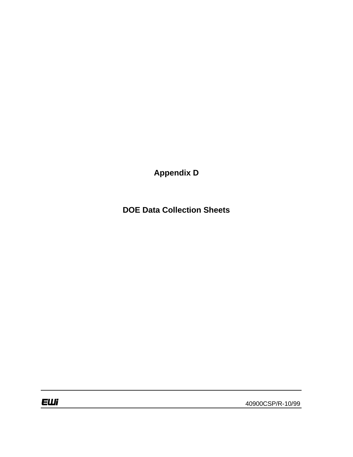**Appendix D**

**DOE Data Collection Sheets**

**EWi** 

40900CSP/R-10/99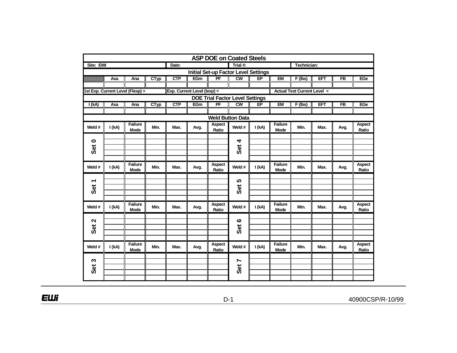|                         | <b>ASP DOE on Coated Steels</b> |                                  |             |            |                             |                                             |                                    |        |                               |             |      |                |                        |  |
|-------------------------|---------------------------------|----------------------------------|-------------|------------|-----------------------------|---------------------------------------------|------------------------------------|--------|-------------------------------|-------------|------|----------------|------------------------|--|
| Site: EWI               |                                 |                                  |             | Date:      |                             |                                             | Trial #:                           |        |                               | Technician: |      |                |                        |  |
|                         |                                 |                                  |             |            |                             | <b>Initial Set-up Factor Level Settings</b> |                                    |        |                               |             |      |                |                        |  |
|                         | Axa                             | Ana                              | CTyp        | <b>CTP</b> | <b>EGm</b>                  | PF                                          | cw                                 | EP     | <b>EM</b>                     | $F($ lbs)   | ET   | F <sub>B</sub> | EGe                    |  |
|                         |                                 |                                  |             |            |                             |                                             |                                    |        |                               |             |      |                |                        |  |
|                         |                                 | 1st Exp. Current Level (Flexp) = |             |            | Exp. Current Level (lexp) = |                                             | <b>Actual Test Current Level =</b> |        |                               |             |      |                |                        |  |
|                         |                                 |                                  |             |            |                             | <b>DOE Trial Factor Level Settings</b>      |                                    |        |                               |             |      |                |                        |  |
| I(kA)                   | Axa                             | Ana                              | <b>CTyp</b> | <b>CTP</b> | <b>EGm</b>                  | PF                                          | cw                                 | E      | <b>EM</b>                     | $F$ (lbs)   | EFT  | F <sub>B</sub> | EGe                    |  |
|                         |                                 |                                  |             |            |                             |                                             |                                    |        |                               |             |      |                |                        |  |
| <b>Weld Button Data</b> |                                 |                                  |             |            |                             |                                             |                                    |        |                               |             |      |                |                        |  |
| Weld #                  | I(kA)                           | <b>Failure</b><br><b>Mode</b>    | Min.        | Max.       | Avg.                        | Aspect<br>Ratio                             | Weld #                             | I (kA) | <b>Failure</b><br><b>Mode</b> | Min.        | Max. | Avg.           | Aspect<br>Ratio        |  |
|                         |                                 |                                  |             |            |                             |                                             |                                    |        |                               |             |      |                |                        |  |
| $\bullet$               |                                 |                                  |             |            |                             |                                             | 4                                  |        |                               |             |      |                |                        |  |
| <b>Set</b>              |                                 |                                  |             |            |                             |                                             | Set                                |        |                               |             |      |                |                        |  |
|                         |                                 |                                  |             |            |                             |                                             |                                    |        |                               |             |      |                |                        |  |
| Weld #                  | I (kA)                          | <b>Failure</b><br><b>Mode</b>    | Min.        | Max.       | Avg.                        | Aspect<br>Ratio                             | Weld #                             | I (kA) | <b>Failure</b><br><b>Mode</b> | Min.        | Max. | Avg.           | <b>Aspect</b><br>Ratio |  |
|                         |                                 |                                  |             |            |                             |                                             |                                    |        |                               |             |      |                |                        |  |
| ↽                       |                                 |                                  |             |            |                             |                                             | 5                                  |        |                               |             |      |                |                        |  |
| <b>Set</b>              |                                 |                                  |             |            |                             |                                             | <b>Set</b>                         |        |                               |             |      |                |                        |  |
|                         |                                 |                                  |             |            |                             |                                             |                                    |        |                               |             |      |                |                        |  |
| Weld #                  | I (kA)                          | <b>Failure</b><br><b>Mode</b>    | Min.        | Max.       | Avg.                        | <b>Aspect</b><br>Ratio                      | Weld #                             | I(kA)  | Failure<br><b>Mode</b>        | Min.        | Max. | Avg.           | <b>Aspect</b><br>Ratio |  |
|                         |                                 |                                  |             |            |                             |                                             |                                    |        |                               |             |      |                |                        |  |
| $\mathbf{\Omega}$       |                                 |                                  |             |            |                             |                                             | $\boldsymbol{\omega}$              |        |                               |             |      |                |                        |  |
| Set                     |                                 |                                  |             |            |                             |                                             | Set                                |        |                               |             |      |                |                        |  |
|                         |                                 |                                  |             |            |                             |                                             |                                    |        |                               |             |      |                |                        |  |
|                         |                                 | <b>Failure</b>                   |             |            |                             | <b>Aspect</b>                               |                                    |        | <b>Failure</b>                |             |      |                | <b>Aspect</b>          |  |
| Weld #                  | I (kA)                          | Mode                             | Min.        | Max.       | Avg.                        | Ratio                                       | Weld #                             | I (kA) | <b>Mode</b>                   | Min.        | Max. | Avg.           | Ratio                  |  |
|                         |                                 |                                  |             |            |                             |                                             |                                    |        |                               |             |      |                |                        |  |
| S                       |                                 |                                  |             |            |                             |                                             | Ľ                                  |        |                               |             |      |                |                        |  |
| <b>Set</b>              |                                 |                                  |             |            |                             |                                             | <b>Set</b>                         |        |                               |             |      |                |                        |  |
|                         |                                 |                                  |             |            |                             |                                             |                                    |        |                               |             |      |                |                        |  |
|                         |                                 |                                  |             |            |                             |                                             |                                    |        |                               |             |      |                |                        |  |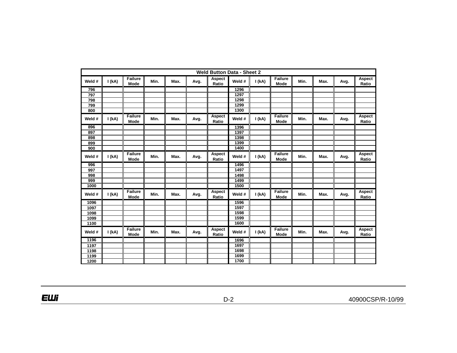|        | <b>Weld Button Data - Sheet 2</b> |                        |      |      |      |                        |        |        |                        |      |      |      |                        |
|--------|-----------------------------------|------------------------|------|------|------|------------------------|--------|--------|------------------------|------|------|------|------------------------|
| Weld # | I(kA)                             | <b>Failure</b><br>Mode | Min. | Max. | Avg. | Aspect<br>Ratio        | Weld # | I(kA)  | <b>Failure</b><br>Mode | Min. | Max. | Avg. | <b>Aspect</b><br>Ratio |
| 796    |                                   |                        |      |      |      |                        | 1296   |        |                        |      |      |      |                        |
| 797    |                                   |                        |      |      |      |                        | 1297   |        |                        |      |      |      |                        |
| 798    |                                   |                        |      |      |      |                        | 1298   |        |                        |      |      |      |                        |
| 799    |                                   |                        |      |      |      |                        | 1299   |        |                        |      |      |      |                        |
| 800    |                                   |                        |      |      |      |                        | 1300   |        |                        |      |      |      |                        |
| Weld # | I(kA)                             | <b>Failure</b><br>Mode | Min. | Max. | Avg. | <b>Aspect</b><br>Ratio | Weld # | I(kA)  | Failure<br>Mode        | Min. | Max. | Avg. | <b>Aspect</b><br>Ratio |
| 896    |                                   |                        |      |      |      |                        | 1396   |        |                        |      |      |      |                        |
| 897    |                                   |                        |      |      |      |                        | 1397   |        |                        |      |      |      |                        |
| 898    |                                   |                        |      |      |      |                        | 1398   |        |                        |      |      |      |                        |
| 899    |                                   |                        |      |      |      |                        | 1399   |        |                        |      |      |      |                        |
| 900    |                                   |                        |      |      |      |                        | 1400   |        |                        |      |      |      |                        |
| Weld # | I (kA)                            | <b>Failure</b><br>Mode | Min. | Max. | Avg. | Aspect<br>Ratio        | Weld # | I (kA) | Failure<br>Mode        | Min. | Max. | Avg. | Aspect<br>Ratio        |
| 996    |                                   |                        |      |      |      |                        | 1496   |        |                        |      |      |      |                        |
| 997    |                                   |                        |      |      |      |                        | 1497   |        |                        |      |      |      |                        |
| 998    |                                   |                        |      |      |      |                        | 1498   |        |                        |      |      |      |                        |
| 999    |                                   |                        |      |      |      |                        | 1499   |        |                        |      |      |      |                        |
| 1000   |                                   |                        |      |      |      |                        | 1500   |        |                        |      |      |      |                        |
| Weld # | I (kA)                            | Failure<br>Mode        | Min. | Max. | Avg. | Aspect<br>Ratio        | Weld # | I (kA) | Failure<br>Mode        | Min. | Max. | Avg. | <b>Aspect</b><br>Ratio |
| 1096   |                                   |                        |      |      |      |                        | 1596   |        |                        |      |      |      |                        |
| 1097   |                                   |                        |      |      |      |                        | 1597   |        |                        |      |      |      |                        |
| 1098   |                                   |                        |      |      |      |                        | 1598   |        |                        |      |      |      |                        |
| 1099   |                                   |                        |      |      |      |                        | 1599   |        |                        |      |      |      |                        |
| 1100   |                                   |                        |      |      |      |                        | 1600   |        |                        |      |      |      |                        |
| Weld # | I (kA)                            | <b>Failure</b><br>Mode | Min. | Max. | Avg. | Aspect<br>Ratio        | Weld # | I (kA) | <b>Failure</b><br>Mode | Min. | Max. | Avg. | Aspect<br>Ratio        |
| 1196   |                                   |                        |      |      |      |                        | 1696   |        |                        |      |      |      |                        |
| 1197   |                                   |                        |      |      |      |                        | 1697   |        |                        |      |      |      |                        |
| 1198   |                                   |                        |      |      |      |                        | 1698   |        |                        |      |      |      |                        |
| 1199   |                                   |                        |      |      |      |                        | 1699   |        |                        |      |      |      |                        |
| 1200   |                                   |                        |      |      |      |                        | 1700   |        |                        |      |      |      |                        |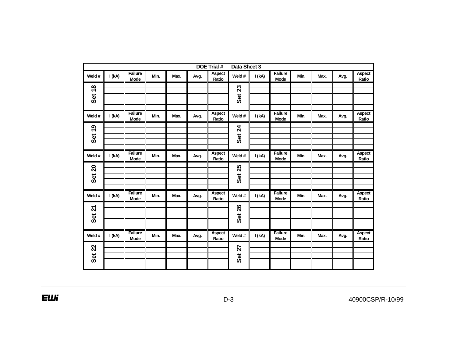| DOE Trial #<br>Data Sheet 3 |       |                               |      |      |      |                        |               |        |                               |      |      |      |                        |
|-----------------------------|-------|-------------------------------|------|------|------|------------------------|---------------|--------|-------------------------------|------|------|------|------------------------|
| Weld #                      | I(kA) | <b>Failure</b><br><b>Mode</b> | Min. | Max. | Avg. | <b>Aspect</b><br>Ratio | Weld #        | I(kA)  | <b>Failure</b><br><b>Mode</b> | Min. | Max. | Avg. | <b>Aspect</b><br>Ratio |
| Set 18                      |       |                               |      |      |      |                        | <b>Set 23</b> |        |                               |      |      |      |                        |
| Weld #                      | I(kA) | Failure<br><b>Mode</b>        | Min. | Max. | Avg. | Aspect<br>Ratio        | Weld #        | I(kA)  | <b>Failure</b><br>Mode        | Min. | Max. | Avg. | Aspect<br>Ratio        |
| Set 19                      |       |                               |      |      |      |                        | <b>Set 24</b> |        |                               |      |      |      |                        |
| Weld #                      | I(kA) | <b>Failure</b><br><b>Mode</b> | Min. | Max. | Avg. | Aspect<br>Ratio        | Weld #        | I(kA)  | <b>Failure</b><br><b>Mode</b> | Min. | Max. | Avg. | Aspect<br>Ratio        |
| <b>Set 20</b>               |       |                               |      |      |      |                        | <b>Set 25</b> |        |                               |      |      |      |                        |
| Weld #                      | I(kA) | <b>Failure</b><br><b>Mode</b> | Min. | Max. | Avg. | <b>Aspect</b><br>Ratio | Weld #        | I (kA) | <b>Failure</b><br>Mode        | Min. | Max. | Avg. | <b>Aspect</b><br>Ratio |
| <b>Set 21</b>               |       |                               |      |      |      |                        | <b>Set 26</b> |        |                               |      |      |      |                        |
| Weld #                      | I(kA) | Failure<br>Mode               | Min. | Max. | Avg. | Aspect<br>Ratio        | Weld #        | I(kA)  | Failure<br>Mode               | Min. | Max. | Avg. | Aspect<br>Ratio        |
| <b>Set 22</b>               |       |                               |      |      |      |                        | Set 27        |        |                               |      |      |      |                        |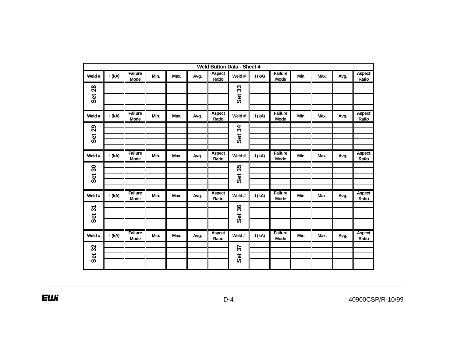|                         | <b>Weld Button Data - Sheet 4</b> |                               |      |      |      |                        |               |        |                               |      |      |      |                        |  |
|-------------------------|-----------------------------------|-------------------------------|------|------|------|------------------------|---------------|--------|-------------------------------|------|------|------|------------------------|--|
| Weld #                  | I(kA)                             | <b>Failure</b><br><b>Mode</b> | Min. | Max. | Avg. | <b>Aspect</b><br>Ratio | Weld #        | I (kA) | <b>Failure</b><br><b>Mode</b> | Min. | Max. | Avg. | <b>Aspect</b><br>Ratio |  |
| <b>Set 28</b>           |                                   |                               |      |      |      |                        | Set 33        |        |                               |      |      |      |                        |  |
| Weld #                  | I(kA)                             | Failure<br><b>Mode</b>        | Min. | Max. | Avg. | Aspect<br>Ratio        | Weld #        | I(kA)  | <b>Failure</b><br><b>Mode</b> | Min. | Max. | Avg. | Aspect<br>Ratio        |  |
| <b>Set 29</b>           |                                   |                               |      |      |      |                        | <b>Set 34</b> |        |                               |      |      |      |                        |  |
| Weld #                  | I(kA)                             | <b>Failure</b><br><b>Mode</b> | Min. | Max. | Avg. | Aspect<br>Ratio        | Weld #        | I(kA)  | <b>Failure</b><br><b>Mode</b> | Min. | Max. | Avg. | Aspect<br>Ratio        |  |
| $\boldsymbol{S}$<br>Set |                                   |                               |      |      |      |                        | 35<br>Set     |        |                               |      |      |      |                        |  |
| Weld #                  | I(kA)                             | <b>Failure</b><br><b>Mode</b> | Min. | Max. | Avg. | <b>Aspect</b><br>Ratio | Weld #        | I (kA) | <b>Failure</b><br><b>Mode</b> | Min. | Max. | Avg. | <b>Aspect</b><br>Ratio |  |
| Set 31                  |                                   |                               |      |      |      |                        | Set 36        |        |                               |      |      |      |                        |  |
| Weld #                  | I(kA)                             | Failure<br>Mode               | Min. | Max. | Avg. | Aspect<br>Ratio        | Weld #        | I(kA)  | Failure<br>Mode               | Min. | Max. | Avg. | Aspect<br>Ratio        |  |
| <b>Set 32</b>           |                                   |                               |      |      |      |                        | Set 37        |        |                               |      |      |      |                        |  |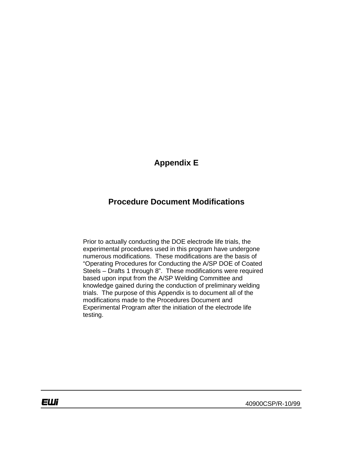# **Appendix E**

# **Procedure Document Modifications**

Prior to actually conducting the DOE electrode life trials, the experimental procedures used in this program have undergone numerous modifications. These modifications are the basis of "Operating Procedures for Conducting the A/SP DOE of Coated Steels – Drafts 1 through 8". These modifications were required based upon input from the A/SP Welding Committee and knowledge gained during the conduction of preliminary welding trials. The purpose of this Appendix is to document all of the modifications made to the Procedures Document and Experimental Program after the initiation of the electrode life testing.

EШi

40900CSP/R-10/99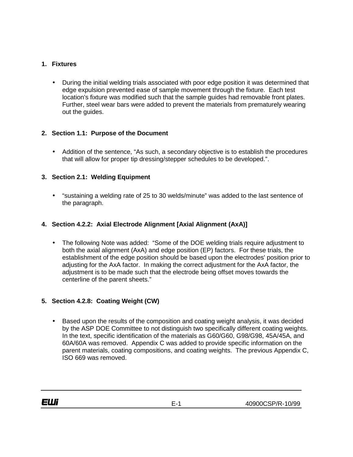#### **1. Fixtures**

• During the initial welding trials associated with poor edge position it was determined that edge expulsion prevented ease of sample movement through the fixture. Each test location's fixture was modified such that the sample guides had removable front plates. Further, steel wear bars were added to prevent the materials from prematurely wearing out the guides.

#### **2. Section 1.1: Purpose of the Document**

• Addition of the sentence, "As such, a secondary objective is to establish the procedures that will allow for proper tip dressing/stepper schedules to be developed.".

#### **3. Section 2.1: Welding Equipment**

• "sustaining a welding rate of 25 to 30 welds/minute" was added to the last sentence of the paragraph.

#### **4. Section 4.2.2: Axial Electrode Alignment [Axial Alignment (AxA)]**

• The following Note was added: "Some of the DOE welding trials require adjustment to both the axial alignment (AxA) and edge position (EP) factors. For these trials, the establishment of the edge position should be based upon the electrodes' position prior to adjusting for the AxA factor. In making the correct adjustment for the AxA factor, the adjustment is to be made such that the electrode being offset moves towards the centerline of the parent sheets."

#### **5. Section 4.2.8: Coating Weight (CW)**

• Based upon the results of the composition and coating weight analysis, it was decided by the ASP DOE Committee to not distinguish two specifically different coating weights. In the text, specific identification of the materials as G60/G60, G98/G98, 45A/45A, and 60A/60A was removed. Appendix C was added to provide specific information on the parent materials, coating compositions, and coating weights. The previous Appendix C, ISO 669 was removed.